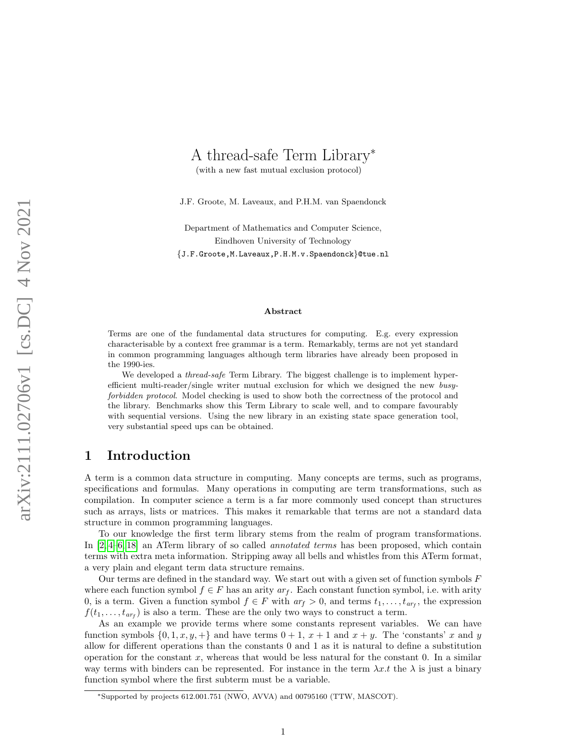# A thread-safe Term Library<sup>∗</sup>

(with a new fast mutual exclusion protocol)

J.F. Groote, M. Laveaux, and P.H.M. van Spaendonck

Department of Mathematics and Computer Science, Eindhoven University of Technology {J.F.Groote,M.Laveaux,P.H.M.v.Spaendonck}@tue.nl

#### Abstract

Terms are one of the fundamental data structures for computing. E.g. every expression characterisable by a context free grammar is a term. Remarkably, terms are not yet standard in common programming languages although term libraries have already been proposed in the 1990-ies.

We developed a *thread-safe* Term Library. The biggest challenge is to implement hyperefficient multi-reader/single writer mutual exclusion for which we designed the new busyforbidden protocol. Model checking is used to show both the correctness of the protocol and the library. Benchmarks show this Term Library to scale well, and to compare favourably with sequential versions. Using the new library in an existing state space generation tool, very substantial speed ups can be obtained.

## 1 Introduction

A term is a common data structure in computing. Many concepts are terms, such as programs, specifications and formulas. Many operations in computing are term transformations, such as compilation. In computer science a term is a far more commonly used concept than structures such as arrays, lists or matrices. This makes it remarkable that terms are not a standard data structure in common programming languages.

To our knowledge the first term library stems from the realm of program transformations. In [\[2,](#page-12-0) [4](#page-12-1)[–6,](#page-13-0) [18\]](#page-13-1) an ATerm library of so called *annotated terms* has been proposed, which contain terms with extra meta information. Stripping away all bells and whistles from this ATerm format, a very plain and elegant term data structure remains.

Our terms are defined in the standard way. We start out with a given set of function symbols  $F$ where each function symbol  $f \in F$  has an arity  $ar_f$ . Each constant function symbol, i.e. with arity 0, is a term. Given a function symbol  $f \in F$  with  $ar_f > 0$ , and terms  $t_1, \ldots, t_{ar_f}$ , the expression  $f(t_1,\ldots,t_{\textit{arf}})$  is also a term. These are the only two ways to construct a term.

As an example we provide terms where some constants represent variables. We can have function symbols  $\{0, 1, x, y, +\}$  and have terms  $0+1$ ,  $x+1$  and  $x+y$ . The 'constants' x and y allow for different operations than the constants 0 and 1 as it is natural to define a substitution operation for the constant  $x$ , whereas that would be less natural for the constant 0. In a similar way terms with binders can be represented. For instance in the term  $\lambda x \cdot t$  the  $\lambda$  is just a binary function symbol where the first subterm must be a variable.

<sup>∗</sup>Supported by projects 612.001.751 (NWO, AVVA) and 00795160 (TTW, MASCOT).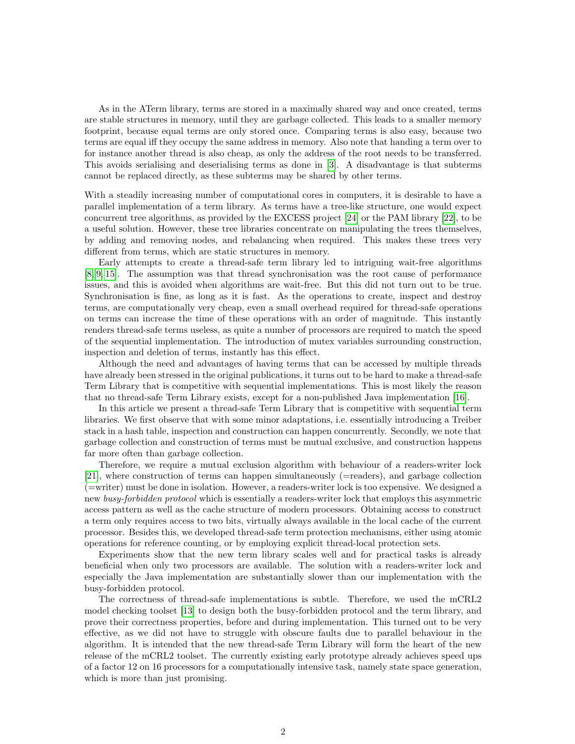As in the ATerm library, terms are stored in a maximally shared way and once created, terms are stable structures in memory, until they are garbage collected. This leads to a smaller memory footprint, because equal terms are only stored once. Comparing terms is also easy, because two terms are equal iff they occupy the same address in memory. Also note that handing a term over to for instance another thread is also cheap, as only the address of the root needs to be transferred. This avoids serialising and deserialising terms as done in [\[3\]](#page-12-2). A disadvantage is that subterms cannot be replaced directly, as these subterms may be shared by other terms.

With a steadily increasing number of computational cores in computers, it is desirable to have a parallel implementation of a term library. As terms have a tree-like structure, one would expect concurrent tree algorithms, as provided by the EXCESS project [\[24\]](#page-14-0) or the PAM library [\[22\]](#page-14-1), to be a useful solution. However, these tree libraries concentrate on manipulating the trees themselves, by adding and removing nodes, and rebalancing when required. This makes these trees very different from terms, which are static structures in memory.

Early attempts to create a thread-safe term library led to intriguing wait-free algorithms [\[8,](#page-13-2) [9,](#page-13-3) [15\]](#page-13-4). The assumption was that thread synchronisation was the root cause of performance issues, and this is avoided when algorithms are wait-free. But this did not turn out to be true. Synchronisation is fine, as long as it is fast. As the operations to create, inspect and destroy terms, are computationally very cheap, even a small overhead required for thread-safe operations on terms can increase the time of these operations with an order of magnitude. This instantly renders thread-safe terms useless, as quite a number of processors are required to match the speed of the sequential implementation. The introduction of mutex variables surrounding construction, inspection and deletion of terms, instantly has this effect.

Although the need and advantages of having terms that can be accessed by multiple threads have already been stressed in the original publications, it turns out to be hard to make a thread-safe Term Library that is competitive with sequential implementations. This is most likely the reason that no thread-safe Term Library exists, except for a non-published Java implementation [\[16\]](#page-13-5).

In this article we present a thread-safe Term Library that is competitive with sequential term libraries. We first observe that with some minor adaptations, i.e. essentially introducing a Treiber stack in a hash table, inspection and construction can happen concurrently. Secondly, we note that garbage collection and construction of terms must be mutual exclusive, and construction happens far more often than garbage collection.

Therefore, we require a mutual exclusion algorithm with behaviour of a readers-writer lock [\[21\]](#page-13-6), where construction of terms can happen simultaneously (=readers), and garbage collection (=writer) must be done in isolation. However, a readers-writer lock is too expensive. We designed a new busy-forbidden protocol which is essentially a readers-writer lock that employs this asymmetric access pattern as well as the cache structure of modern processors. Obtaining access to construct a term only requires access to two bits, virtually always available in the local cache of the current processor. Besides this, we developed thread-safe term protection mechanisms, either using atomic operations for reference counting, or by employing explicit thread-local protection sets.

Experiments show that the new term library scales well and for practical tasks is already beneficial when only two processors are available. The solution with a readers-writer lock and especially the Java implementation are substantially slower than our implementation with the busy-forbidden protocol.

The correctness of thread-safe implementations is subtle. Therefore, we used the mCRL2 model checking toolset [\[13\]](#page-13-7) to design both the busy-forbidden protocol and the term library, and prove their correctness properties, before and during implementation. This turned out to be very effective, as we did not have to struggle with obscure faults due to parallel behaviour in the algorithm. It is intended that the new thread-safe Term Library will form the heart of the new release of the mCRL2 toolset. The currently existing early prototype already achieves speed ups of a factor 12 on 16 processors for a computationally intensive task, namely state space generation, which is more than just promising.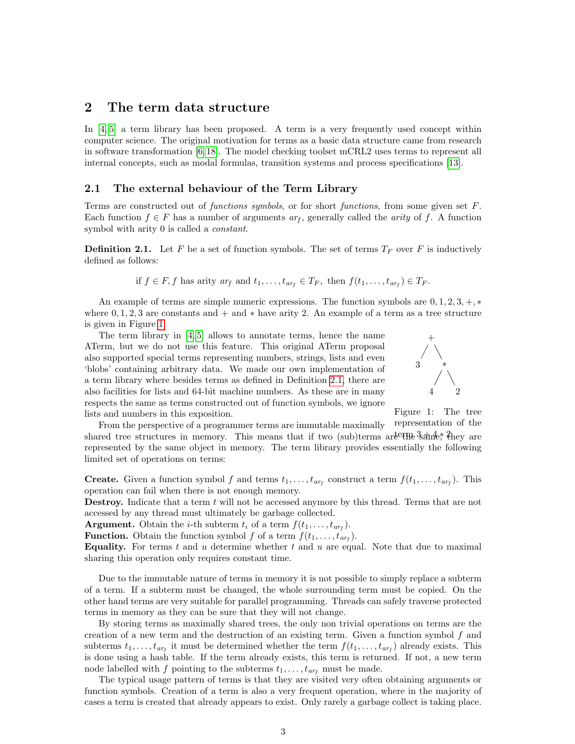### 2 The term data structure

In [\[4,](#page-12-1) [5\]](#page-12-3) a term library has been proposed. A term is a very frequently used concept within computer science. The original motivation for terms as a basic data structure came from research in software transformation [\[6,](#page-13-0) [18\]](#page-13-1). The model checking toolset mCRL2 uses terms to represent all internal concepts, such as modal formulas, transition systems and process specifications [\[13\]](#page-13-7).

#### <span id="page-2-2"></span>2.1 The external behaviour of the Term Library

Terms are constructed out of functions symbols, or for short functions, from some given set F. Each function  $f \in F$  has a number of arguments  $ar_f$ , generally called the *arity* of f. A function symbol with arity 0 is called a *constant*.

<span id="page-2-1"></span>**Definition 2.1.** Let F be a set of function symbols. The set of terms  $T_F$  over F is inductively defined as follows:

if 
$$
f \in F
$$
, f has arity  $ar_f$  and  $t_1, \ldots, t_{ar_f} \in T_F$ , then  $f(t_1, \ldots, t_{ar_f}) \in T_F$ .

An example of terms are simple numeric expressions. The function symbols are  $0, 1, 2, 3, +, *$ where  $0, 1, 2, 3$  are constants and  $+$  and  $*$  have arity 2. An example of a term as a tree structure is given in Figure [1.](#page-2-0)

The term library in [\[4,](#page-12-1) [5\]](#page-12-3) allows to annotate terms, hence the name ATerm, but we do not use this feature. This original ATerm proposal also supported special terms representing numbers, strings, lists and even 'blobs' containing arbitrary data. We made our own implementation of a term library where besides terms as defined in Definition [2.1,](#page-2-1) there are also facilities for lists and 64-bit machine numbers. As these are in many respects the same as terms constructed out of function symbols, we ignore lists and numbers in this exposition.

<span id="page-2-0"></span>

Figure 1: The tree

representation of the shared tree structures in memory. This means that if two (sub)terms are  $\frac{1}{2}$  and  $\frac{1}{2}$   $\frac{1}{2}$   $\frac{1}{2}$   $\frac{1}{2}$   $\frac{1}{2}$   $\frac{1}{2}$   $\frac{1}{2}$   $\frac{1}{2}$   $\frac{1}{2}$   $\frac{1}{2}$   $\frac{1}{2}$   $\frac{1}{2}$   $\frac{1}{2}$   $\frac{1$ From the perspective of a programmer terms are immutable maximally represented by the same object in memory. The term library provides essentially the following limited set of operations on terms:

**Create.** Given a function symbol f and terms  $t_1, \ldots, t_{\text{arf}}$  construct a term  $f(t_1, \ldots, t_{\text{arf}})$ . This operation can fail when there is not enough memory.

Destroy. Indicate that a term t will not be accessed anymore by this thread. Terms that are not accessed by any thread must ultimately be garbage collected.

**Argument.** Obtain the *i*-th subterm  $t_i$  of a term  $f(t_1, \ldots, t_{\textit{ar}_f})$ .

**Function.** Obtain the function symbol f of a term  $f(t_1, \ldots, t_{\textit{arf}})$ .

**Equality.** For terms t and u determine whether t and u are equal. Note that due to maximal sharing this operation only requires constant time.

Due to the immutable nature of terms in memory it is not possible to simply replace a subterm of a term. If a subterm must be changed, the whole surrounding term must be copied. On the other hand terms are very suitable for parallel programming. Threads can safely traverse protected terms in memory as they can be sure that they will not change.

By storing terms as maximally shared trees, the only non trivial operations on terms are the creation of a new term and the destruction of an existing term. Given a function symbol f and subterms  $t_1, \ldots, t_{ar_f}$  it must be determined whether the term  $f(t_1, \ldots, t_{ar_f})$  already exists. This is done using a hash table. If the term already exists, this term is returned. If not, a new term node labelled with f pointing to the subterms  $t_1, \ldots, t_{\text{arr}}$  must be made.

The typical usage pattern of terms is that they are visited very often obtaining arguments or function symbols. Creation of a term is also a very frequent operation, where in the majority of cases a term is created that already appears to exist. Only rarely a garbage collect is taking place.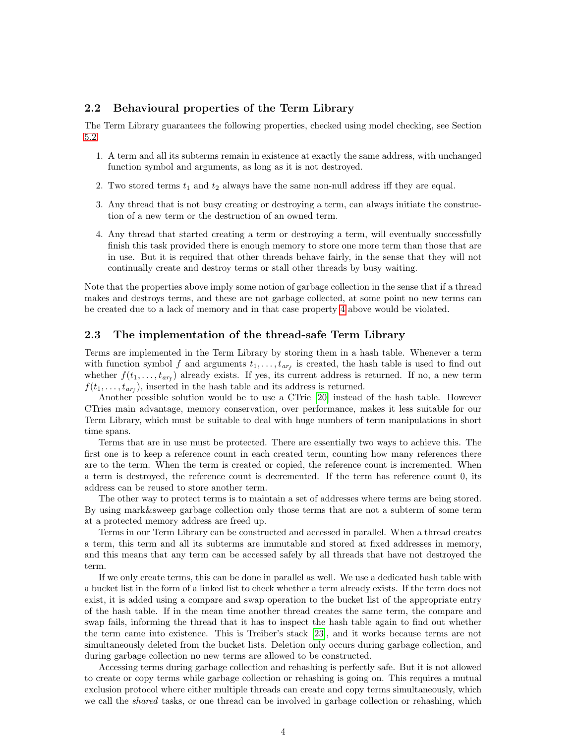#### <span id="page-3-1"></span>2.2 Behavioural properties of the Term Library

The Term Library guarantees the following properties, checked using model checking, see Section [5.2.](#page-9-0)

- <span id="page-3-2"></span>1. A term and all its subterms remain in existence at exactly the same address, with unchanged function symbol and arguments, as long as it is not destroyed.
- <span id="page-3-3"></span>2. Two stored terms  $t_1$  and  $t_2$  always have the same non-null address iff they are equal.
- <span id="page-3-4"></span>3. Any thread that is not busy creating or destroying a term, can always initiate the construction of a new term or the destruction of an owned term.
- <span id="page-3-0"></span>4. Any thread that started creating a term or destroying a term, will eventually successfully finish this task provided there is enough memory to store one more term than those that are in use. But it is required that other threads behave fairly, in the sense that they will not continually create and destroy terms or stall other threads by busy waiting.

Note that the properties above imply some notion of garbage collection in the sense that if a thread makes and destroys terms, and these are not garbage collected, at some point no new terms can be created due to a lack of memory and in that case property [4](#page-3-0) above would be violated.

#### 2.3 The implementation of the thread-safe Term Library

Terms are implemented in the Term Library by storing them in a hash table. Whenever a term with function symbol f and arguments  $t_1, \ldots, t_{ar_f}$  is created, the hash table is used to find out whether  $f(t_1,\ldots,t_{a r_f})$  already exists. If yes, its current address is returned. If no, a new term  $f(t_1,\ldots,t_{\textit{arf}})$ , inserted in the hash table and its address is returned.

Another possible solution would be to use a CTrie [\[20\]](#page-13-8) instead of the hash table. However CTries main advantage, memory conservation, over performance, makes it less suitable for our Term Library, which must be suitable to deal with huge numbers of term manipulations in short time spans.

Terms that are in use must be protected. There are essentially two ways to achieve this. The first one is to keep a reference count in each created term, counting how many references there are to the term. When the term is created or copied, the reference count is incremented. When a term is destroyed, the reference count is decremented. If the term has reference count 0, its address can be reused to store another term.

The other way to protect terms is to maintain a set of addresses where terms are being stored. By using mark&sweep garbage collection only those terms that are not a subterm of some term at a protected memory address are freed up.

Terms in our Term Library can be constructed and accessed in parallel. When a thread creates a term, this term and all its subterms are immutable and stored at fixed addresses in memory, and this means that any term can be accessed safely by all threads that have not destroyed the term.

If we only create terms, this can be done in parallel as well. We use a dedicated hash table with a bucket list in the form of a linked list to check whether a term already exists. If the term does not exist, it is added using a compare and swap operation to the bucket list of the appropriate entry of the hash table. If in the mean time another thread creates the same term, the compare and swap fails, informing the thread that it has to inspect the hash table again to find out whether the term came into existence. This is Treiber's stack [\[23\]](#page-14-2), and it works because terms are not simultaneously deleted from the bucket lists. Deletion only occurs during garbage collection, and during garbage collection no new terms are allowed to be constructed.

Accessing terms during garbage collection and rehashing is perfectly safe. But it is not allowed to create or copy terms while garbage collection or rehashing is going on. This requires a mutual exclusion protocol where either multiple threads can create and copy terms simultaneously, which we call the *shared* tasks, or one thread can be involved in garbage collection or rehashing, which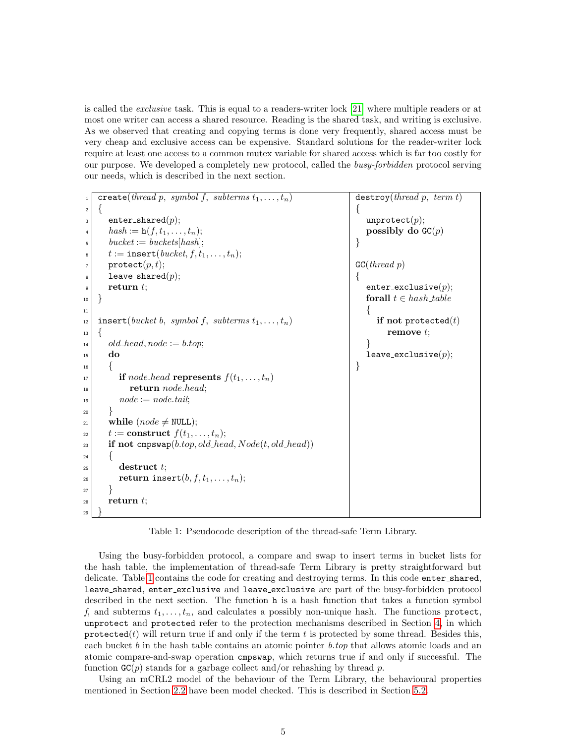is called the exclusive task. This is equal to a readers-writer lock [\[21\]](#page-13-6) where multiple readers or at most one writer can access a shared resource. Reading is the shared task, and writing is exclusive. As we observed that creating and copying terms is done very frequently, shared access must be very cheap and exclusive access can be expensive. Standard solutions for the reader-writer lock require at least one access to a common mutex variable for shared access which is far too costly for our purpose. We developed a completely new protocol, called the *busy-forbidden* protocol serving our needs, which is described in the next section.

<span id="page-4-0"></span>

| $\mathbf{1}$   | create(thread p, symbol f, subterms $t_1, \ldots, t_n$ ) | destroy( <i>thread</i> p, term t) |
|----------------|----------------------------------------------------------|-----------------------------------|
| $\overline{2}$ |                                                          |                                   |
| 3              | $enter\_shared(p);$                                      | unprotect $(p)$ ;                 |
| $\overline{4}$ | $hash := h(f, t_1, \ldots, t_n);$                        | possibly do $GC(p)$               |
| 5              | $bucket := buckets[hash];$                               |                                   |
| 6              | $t :=$ insert( <i>bucket</i> , $f, t_1, \ldots, t_n$ );  |                                   |
| $\overline{7}$ | $\texttt{protect}(p, t);$                                | GC(thread p)                      |
| 8              | leave_shared $(p)$ ;                                     |                                   |
| 9              | return $t$ ;                                             | $enter\_exclusive(p);$            |
| 10             |                                                          | forall $t \in hash\_table$        |
| 11             |                                                          |                                   |
| 12             | insert(bucket b, symbol f, subterms $t_1, \ldots, t_n$ ) | if not protected $(t)$            |
| 13             |                                                          | remove $t$ ;                      |
| 14             | $old\_head, node := b,top;$                              |                                   |
| 15             | do                                                       | leave_exclusive $(p)$ ;           |
| 16             |                                                          | $\}$                              |
| 17             | if node.head represents $f(t_1, \ldots, t_n)$            |                                   |
| 18             | return node.head;                                        |                                   |
| 19             | $node := node.tail$                                      |                                   |
| 20             |                                                          |                                   |
| 21             | while $(node \neq \text{NULL});$                         |                                   |
| 22             | $t := \text{construct } f(t_1, \ldots, t_n);$            |                                   |
| 23             | if not cmpswap(b.top, old_head, $Node(t, old\_head))$ )  |                                   |
| 24             |                                                          |                                   |
| 25             | destruct $t$ ;                                           |                                   |
| 26             | return insert $(b, f, t_1, \ldots, t_n);$                |                                   |
| 27             |                                                          |                                   |
| 28             | return $t$ ;                                             |                                   |
| 29             |                                                          |                                   |

Table 1: Pseudocode description of the thread-safe Term Library.

Using the busy-forbidden protocol, a compare and swap to insert terms in bucket lists for the hash table, the implementation of thread-safe Term Library is pretty straightforward but delicate. Table [1](#page-4-0) contains the code for creating and destroying terms. In this code enter\_shared, leave shared, enter exclusive and leave exclusive are part of the busy-forbidden protocol described in the next section. The function h is a hash function that takes a function symbol f, and subterms  $t_1, \ldots, t_n$ , and calculates a possibly non-unique hash. The functions protect, unprotect and protected refer to the protection mechanisms described in Section [4,](#page-8-0) in which protected(t) will return true if and only if the term t is protected by some thread. Besides this, each bucket  $b$  in the hash table contains an atomic pointer  $b \text{.top}$  that allows atomic loads and an atomic compare-and-swap operation cmpswap, which returns true if and only if successful. The function  $GC(p)$  stands for a garbage collect and/or rehashing by thread p.

Using an mCRL2 model of the behaviour of the Term Library, the behavioural properties mentioned in Section [2.2](#page-3-1) have been model checked. This is described in Section [5.2.](#page-9-0)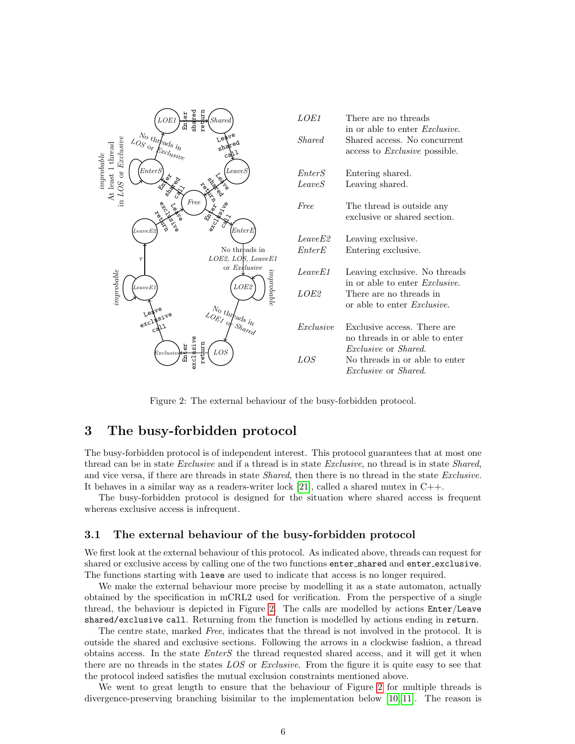<span id="page-5-0"></span>

Figure 2: The external behaviour of the busy-forbidden protocol.

# 3 The busy-forbidden protocol

The busy-forbidden protocol is of independent interest. This protocol guarantees that at most one thread can be in state Exclusive and if a thread is in state Exclusive, no thread is in state Shared, and vice versa, if there are threads in state Shared, then there is no thread in the state Exclusive. It behaves in a similar way as a readers-writer lock [\[21\]](#page-13-6), called a shared mutex in  $C++$ .

The busy-forbidden protocol is designed for the situation where shared access is frequent whereas exclusive access is infrequent.

### 3.1 The external behaviour of the busy-forbidden protocol

We first look at the external behaviour of this protocol. As indicated above, threads can request for shared or exclusive access by calling one of the two functions enter\_shared and enter\_exclusive. The functions starting with leave are used to indicate that access is no longer required.

We make the external behaviour more precise by modelling it as a state automaton, actually obtained by the specification in mCRL2 used for verification. From the perspective of a single thread, the behaviour is depicted in Figure [2.](#page-5-0) The calls are modelled by actions Enter/Leave shared/exclusive call. Returning from the function is modelled by actions ending in return.

The centre state, marked Free, indicates that the thread is not involved in the protocol. It is outside the shared and exclusive sections. Following the arrows in a clockwise fashion, a thread obtains access. In the state  $EnterS$  the thread requested shared access, and it will get it when there are no threads in the states LOS or Exclusive. From the figure it is quite easy to see that the protocol indeed satisfies the mutual exclusion constraints mentioned above.

We went to great length to ensure that the behaviour of Figure [2](#page-5-0) for multiple threads is divergence-preserving branching bisimilar to the implementation below [\[10,](#page-13-9) [11\]](#page-13-10). The reason is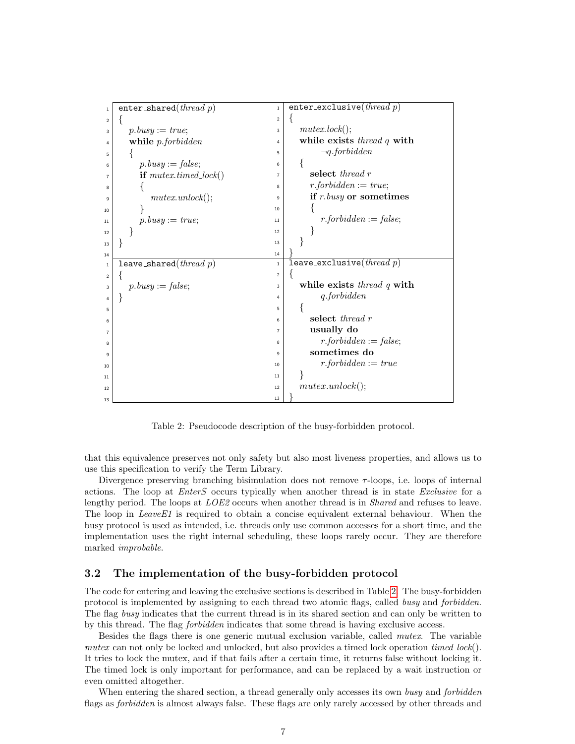<span id="page-6-0"></span>

| $\mathbf{1}$            | enter_shared $(thread p)$<br>$\mathbf{1}$  | $enter\_exclusive(thread p)$  |
|-------------------------|--------------------------------------------|-------------------------------|
| $\overline{\mathbf{c}}$ | ₹<br>2                                     |                               |
| 3                       | $p.busy := true;$<br>3                     | mutex. lock();                |
| 4                       | while $p.forbidden$<br>4                   | while exists thread $q$ with  |
| 5                       | 5                                          | $\neg q. for bidden$          |
| 6                       | $p.busy := false;$<br>6                    | ┤                             |
| $\overline{7}$          | if $mutex.timed\_lock()$<br>$\overline{7}$ | select thread r               |
| 8                       | 8                                          | $r.forbidden := true;$        |
| 9                       | mutex. unlock();<br>9                      | if $r.busy$ or sometimes      |
| 10                      | 10                                         |                               |
| 11                      | $p.busy := true;$<br>11                    | $r.forbidden := false;$       |
| 12                      | 12                                         |                               |
| 13                      | 13                                         |                               |
| 14                      | 14                                         |                               |
| 1                       | leave_shared $(thread\ p)$<br>$1\,$        | leave_exclusive $(thread\ p)$ |
| $\overline{\mathbf{c}}$ | 2                                          |                               |
| 3                       | $p.busy := false;$<br>3                    | while exists thread $q$ with  |
| 4                       | }<br>4                                     | q. for bidden                 |
| 5                       | 5                                          | ₹                             |
| 6                       | 6                                          | select thread r               |
| $\overline{7}$          | $\overline{7}$                             | usually do                    |
| 8                       | 8                                          | $r.forbidden := false;$       |
| 9                       | q                                          | sometimes do                  |
| 10                      | 10                                         | $r. for bidden := true$       |
| 11                      | 11                                         |                               |
| 12                      | 12                                         | mutex. unlock();              |
|                         | 13                                         |                               |

Table 2: Pseudocode description of the busy-forbidden protocol.

that this equivalence preserves not only safety but also most liveness properties, and allows us to use this specification to verify the Term Library.

Divergence preserving branching bisimulation does not remove  $\tau$ -loops, i.e. loops of internal actions. The loop at *EnterS* occurs typically when another thread is in state *Exclusive* for a lengthy period. The loops at LOE2 occurs when another thread is in *Shared* and refuses to leave. The loop in  $LeaveE1$  is required to obtain a concise equivalent external behaviour. When the busy protocol is used as intended, i.e. threads only use common accesses for a short time, and the implementation uses the right internal scheduling, these loops rarely occur. They are therefore marked improbable.

#### <span id="page-6-1"></span>3.2 The implementation of the busy-forbidden protocol

The code for entering and leaving the exclusive sections is described in Table [2.](#page-6-0) The busy-forbidden protocol is implemented by assigning to each thread two atomic flags, called busy and forbidden. The flag busy indicates that the current thread is in its shared section and can only be written to by this thread. The flag forbidden indicates that some thread is having exclusive access.

Besides the flags there is one generic mutual exclusion variable, called mutex. The variable mutex can not only be locked and unlocked, but also provides a timed lock operation timed lock(). It tries to lock the mutex, and if that fails after a certain time, it returns false without locking it. The timed lock is only important for performance, and can be replaced by a wait instruction or even omitted altogether.

When entering the shared section, a thread generally only accesses its own busy and forbidden flags as *forbidden* is almost always false. These flags are only rarely accessed by other threads and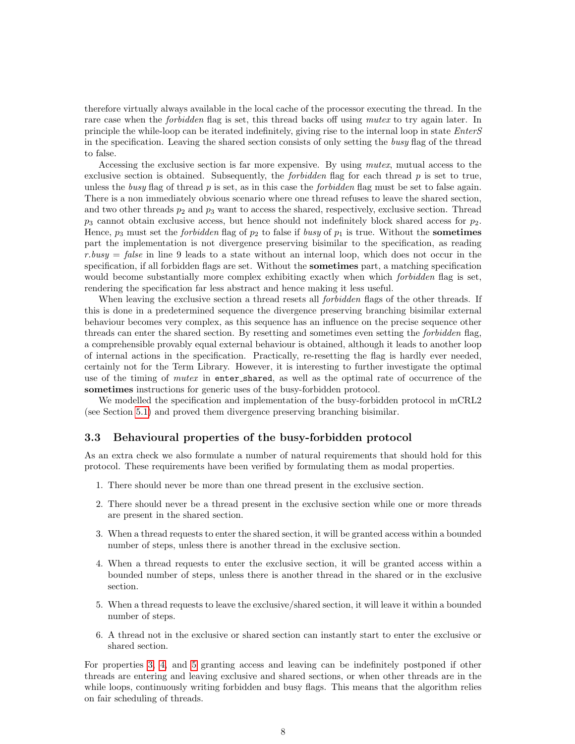therefore virtually always available in the local cache of the processor executing the thread. In the rare case when the *forbidden* flag is set, this thread backs off using *mutex* to try again later. In principle the while-loop can be iterated indefinitely, giving rise to the internal loop in state  $Enters$ in the specification. Leaving the shared section consists of only setting the busy flag of the thread to false.

Accessing the exclusive section is far more expensive. By using mutex, mutual access to the exclusive section is obtained. Subsequently, the *forbidden* flag for each thread  $p$  is set to true, unless the busy flag of thread  $p$  is set, as in this case the *forbidden* flag must be set to false again. There is a non immediately obvious scenario where one thread refuses to leave the shared section, and two other threads  $p_2$  and  $p_3$  want to access the shared, respectively, exclusive section. Thread  $p_3$  cannot obtain exclusive access, but hence should not indefinitely block shared access for  $p_2$ . Hence,  $p_3$  must set the *forbidden* flag of  $p_2$  to false if busy of  $p_1$  is true. Without the **sometimes** part the implementation is not divergence preserving bisimilar to the specification, as reading  $r.busy = false$  in line 9 leads to a state without an internal loop, which does not occur in the specification, if all forbidden flags are set. Without the **sometimes** part, a matching specification would become substantially more complex exhibiting exactly when which *forbidden* flag is set, rendering the specification far less abstract and hence making it less useful.

When leaving the exclusive section a thread resets all *forbidden* flags of the other threads. If this is done in a predetermined sequence the divergence preserving branching bisimilar external behaviour becomes very complex, as this sequence has an influence on the precise sequence other threads can enter the shared section. By resetting and sometimes even setting the forbidden flag, a comprehensible provably equal external behaviour is obtained, although it leads to another loop of internal actions in the specification. Practically, re-resetting the flag is hardly ever needed, certainly not for the Term Library. However, it is interesting to further investigate the optimal use of the timing of *mutex* in enter shared, as well as the optimal rate of occurrence of the sometimes instructions for generic uses of the busy-forbidden protocol.

We modelled the specification and implementation of the busy-forbidden protocol in mCRL2 (see Section [5.1\)](#page-9-1) and proved them divergence preserving branching bisimilar.

#### <span id="page-7-4"></span>3.3 Behavioural properties of the busy-forbidden protocol

As an extra check we also formulate a number of natural requirements that should hold for this protocol. These requirements have been verified by formulating them as modal properties.

- <span id="page-7-5"></span>1. There should never be more than one thread present in the exclusive section.
- <span id="page-7-3"></span>2. There should never be a thread present in the exclusive section while one or more threads are present in the shared section.
- <span id="page-7-0"></span>3. When a thread requests to enter the shared section, it will be granted access within a bounded number of steps, unless there is another thread in the exclusive section.
- <span id="page-7-1"></span>4. When a thread requests to enter the exclusive section, it will be granted access within a bounded number of steps, unless there is another thread in the shared or in the exclusive section.
- <span id="page-7-2"></span>5. When a thread requests to leave the exclusive/shared section, it will leave it within a bounded number of steps.
- <span id="page-7-6"></span>6. A thread not in the exclusive or shared section can instantly start to enter the exclusive or shared section.

For properties [3,](#page-7-0) [4,](#page-7-1) and [5](#page-7-2) granting access and leaving can be indefinitely postponed if other threads are entering and leaving exclusive and shared sections, or when other threads are in the while loops, continuously writing forbidden and busy flags. This means that the algorithm relies on fair scheduling of threads.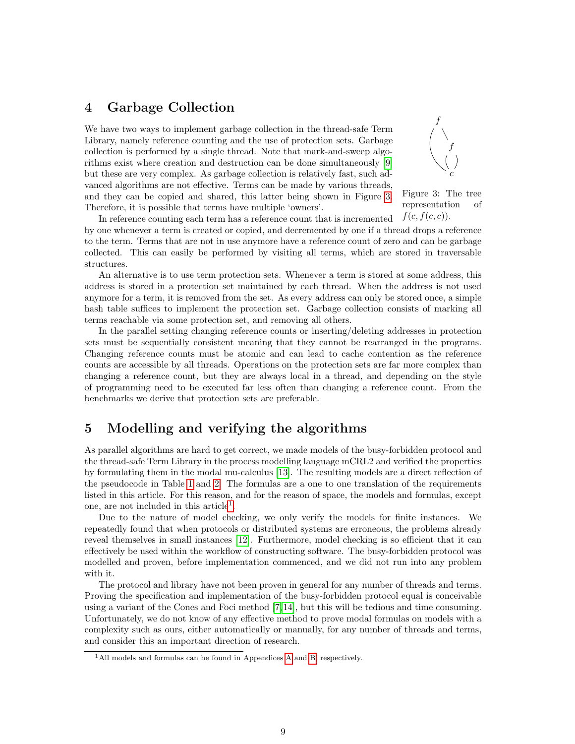## <span id="page-8-0"></span>4 Garbage Collection

We have two ways to implement garbage collection in the thread-safe Term Library, namely reference counting and the use of protection sets. Garbage collection is performed by a single thread. Note that mark-and-sweep algorithms exist where creation and destruction can be done simultaneously [\[9\]](#page-13-3) but these are very complex. As garbage collection is relatively fast, such advanced algorithms are not effective. Terms can be made by various threads, and they can be copied and shared, this latter being shown in Figure [3.](#page-8-1) Therefore, it is possible that terms have multiple 'owners'.

<span id="page-8-1"></span>

Figure 3: The tree representation of  $f(c, f(c, c))$ .

In reference counting each term has a reference count that is incremented by one whenever a term is created or copied, and decremented by one if a thread drops a reference to the term. Terms that are not in use anymore have a reference count of zero and can be garbage collected. This can easily be performed by visiting all terms, which are stored in traversable structures.

An alternative is to use term protection sets. Whenever a term is stored at some address, this address is stored in a protection set maintained by each thread. When the address is not used anymore for a term, it is removed from the set. As every address can only be stored once, a simple hash table suffices to implement the protection set. Garbage collection consists of marking all terms reachable via some protection set, and removing all others.

In the parallel setting changing reference counts or inserting/deleting addresses in protection sets must be sequentially consistent meaning that they cannot be rearranged in the programs. Changing reference counts must be atomic and can lead to cache contention as the reference counts are accessible by all threads. Operations on the protection sets are far more complex than changing a reference count, but they are always local in a thread, and depending on the style of programming need to be executed far less often than changing a reference count. From the benchmarks we derive that protection sets are preferable.

## 5 Modelling and verifying the algorithms

As parallel algorithms are hard to get correct, we made models of the busy-forbidden protocol and the thread-safe Term Library in the process modelling language mCRL2 and verified the properties by formulating them in the modal mu-calculus [\[13\]](#page-13-7). The resulting models are a direct reflection of the pseudocode in Table [1](#page-4-0) and [2.](#page-6-0) The formulas are a one to one translation of the requirements listed in this article. For this reason, and for the reason of space, the models and formulas, except one, are not included in this article<sup>[1](#page-8-2)</sup>.

Due to the nature of model checking, we only verify the models for finite instances. We repeatedly found that when protocols or distributed systems are erroneous, the problems already reveal themselves in small instances [\[12\]](#page-13-11). Furthermore, model checking is so efficient that it can effectively be used within the workflow of constructing software. The busy-forbidden protocol was modelled and proven, before implementation commenced, and we did not run into any problem with it.

The protocol and library have not been proven in general for any number of threads and terms. Proving the specification and implementation of the busy-forbidden protocol equal is conceivable using a variant of the Cones and Foci method [\[7,](#page-13-12)[14\]](#page-13-13), but this will be tedious and time consuming. Unfortunately, we do not know of any effective method to prove modal formulas on models with a complexity such as ours, either automatically or manually, for any number of threads and terms, and consider this an important direction of research.

<span id="page-8-2"></span><sup>&</sup>lt;sup>1</sup>All models and formulas can be found in [A](#page-15-0)ppendices A and [B,](#page-24-0) respectively.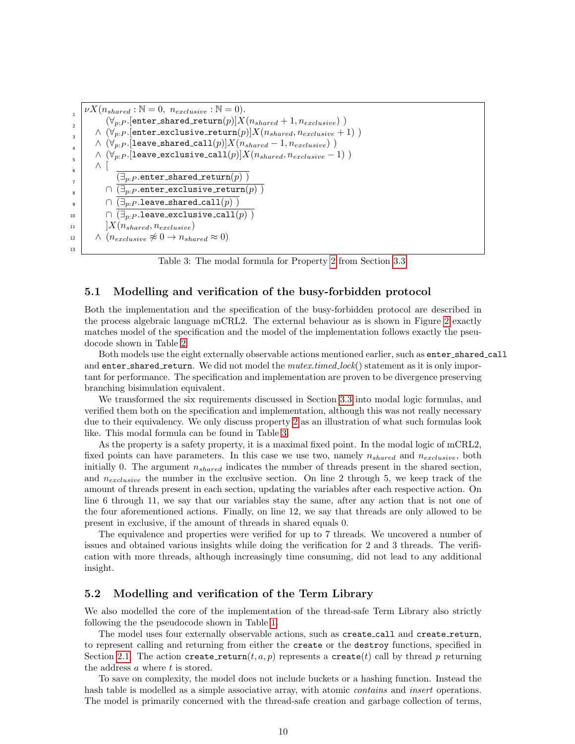<span id="page-9-2"></span>

Table 3: The modal formula for Property [2](#page-7-3) from Section [3.3.](#page-7-4)

#### <span id="page-9-1"></span>5.1 Modelling and verification of the busy-forbidden protocol

Both the implementation and the specification of the busy-forbidden protocol are described in the process algebraic language mCRL2. The external behaviour as is shown in Figure [2](#page-5-0) exactly matches model of the specification and the model of the implementation follows exactly the pseudocode shown in Table [2.](#page-6-0)

Both models use the eight externally observable actions mentioned earlier, such as enter shared call and enter shared return. We did not model the  $\textit{mutex.time}$  lock() statement as it is only important for performance. The specification and implementation are proven to be divergence preserving branching bisimulation equivalent.

We transformed the six requirements discussed in Section [3.3](#page-7-4) into modal logic formulas, and verified them both on the specification and implementation, although this was not really necessary due to their equivalency. We only discuss property [2](#page-7-3) as an illustration of what such formulas look like. This modal formula can be found in Table [3.](#page-9-2)

As the property is a safety property, it is a maximal fixed point. In the modal logic of mCRL2, fixed points can have parameters. In this case we use two, namely  $n_{shared}$  and  $n_{exclusive}$ , both initially 0. The argument  $n_{shared}$  indicates the number of threads present in the shared section, and  $n_{exclusive}$  the number in the exclusive section. On line 2 through 5, we keep track of the amount of threads present in each section, updating the variables after each respective action. On line 6 through 11, we say that our variables stay the same, after any action that is not one of the four aforementioned actions. Finally, on line 12, we say that threads are only allowed to be present in exclusive, if the amount of threads in shared equals 0.

The equivalence and properties were verified for up to 7 threads. We uncovered a number of issues and obtained various insights while doing the verification for 2 and 3 threads. The verification with more threads, although increasingly time consuming, did not lead to any additional insight.

#### <span id="page-9-0"></span>5.2 Modelling and verification of the Term Library

We also modelled the core of the implementation of the thread-safe Term Library also strictly following the the pseudocode shown in Table [1.](#page-4-0)

The model uses four externally observable actions, such as create\_call and create\_return, to represent calling and returning from either the create or the destroy functions, specified in Section [2.1.](#page-2-2) The action create return(t, a, p) represents a create(t) call by thread p returning the address  $a$  where  $t$  is stored.

To save on complexity, the model does not include buckets or a hashing function. Instead the hash table is modelled as a simple associative array, with atomic *contains* and *insert* operations. The model is primarily concerned with the thread-safe creation and garbage collection of terms,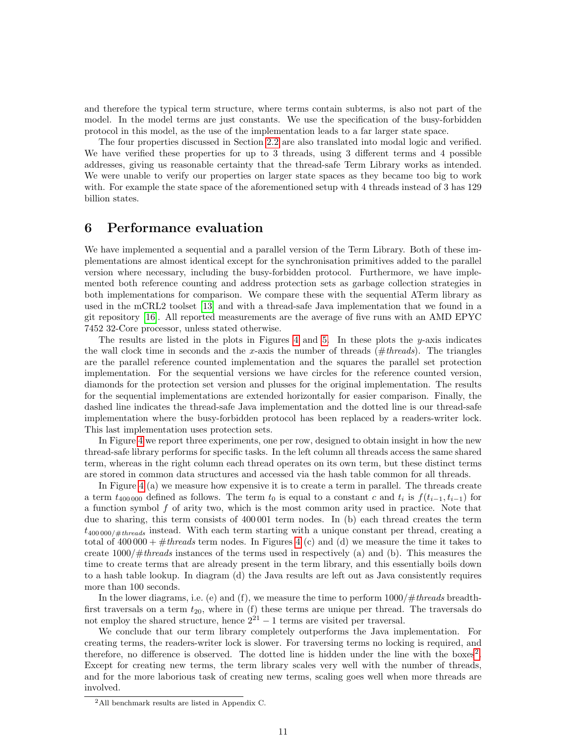and therefore the typical term structure, where terms contain subterms, is also not part of the model. In the model terms are just constants. We use the specification of the busy-forbidden protocol in this model, as the use of the implementation leads to a far larger state space.

The four properties discussed in Section [2.2](#page-3-1) are also translated into modal logic and verified. We have verified these properties for up to 3 threads, using 3 different terms and 4 possible addresses, giving us reasonable certainty that the thread-safe Term Library works as intended. We were unable to verify our properties on larger state spaces as they became too big to work with. For example the state space of the aforementioned setup with 4 threads instead of 3 has 129 billion states.

### 6 Performance evaluation

We have implemented a sequential and a parallel version of the Term Library. Both of these implementations are almost identical except for the synchronisation primitives added to the parallel version where necessary, including the busy-forbidden protocol. Furthermore, we have implemented both reference counting and address protection sets as garbage collection strategies in both implementations for comparison. We compare these with the sequential ATerm library as used in the mCRL2 toolset [\[13\]](#page-13-7) and with a thread-safe Java implementation that we found in a git repository [\[16\]](#page-13-5). All reported measurements are the average of five runs with an AMD EPYC 7452 32-Core processor, unless stated otherwise.

The results are listed in the plots in Figures [4](#page-11-0) and [5.](#page-12-4) In these plots the  $y$ -axis indicates the wall clock time in seconds and the x-axis the number of threads ( $\#threads$ ). The triangles are the parallel reference counted implementation and the squares the parallel set protection implementation. For the sequential versions we have circles for the reference counted version, diamonds for the protection set version and plusses for the original implementation. The results for the sequential implementations are extended horizontally for easier comparison. Finally, the dashed line indicates the thread-safe Java implementation and the dotted line is our thread-safe implementation where the busy-forbidden protocol has been replaced by a readers-writer lock. This last implementation uses protection sets.

In Figure [4](#page-11-0) we report three experiments, one per row, designed to obtain insight in how the new thread-safe library performs for specific tasks. In the left column all threads access the same shared term, whereas in the right column each thread operates on its own term, but these distinct terms are stored in common data structures and accessed via the hash table common for all threads.

In Figure [4](#page-11-0) (a) we measure how expensive it is to create a term in parallel. The threads create a term  $t_{400000}$  defined as follows. The term  $t_0$  is equal to a constant c and  $t_i$  is  $f(t_{i-1}, t_{i-1})$  for a function symbol f of arity two, which is the most common arity used in practice. Note that due to sharing, this term consists of 400 001 term nodes. In (b) each thread creates the term  $t_{400\,000/\#threads}$  instead. With each term starting with a unique constant per thread, creating a total of  $400\,000 + \#threads$  term nodes. In Figures [4](#page-11-0) (c) and (d) we measure the time it takes to create  $1000/\#threads$  instances of the terms used in respectively (a) and (b). This measures the time to create terms that are already present in the term library, and this essentially boils down to a hash table lookup. In diagram (d) the Java results are left out as Java consistently requires more than 100 seconds.

In the lower diagrams, i.e. (e) and (f), we measure the time to perform  $1000/\#threads$  breadthfirst traversals on a term  $t_{20}$ , where in (f) these terms are unique per thread. The traversals do not employ the shared structure, hence  $2^{21} - 1$  terms are visited per traversal.

We conclude that our term library completely outperforms the Java implementation. For creating terms, the readers-writer lock is slower. For traversing terms no locking is required, and therefore, no difference is observed. The dotted line is hidden under the line with the boxes<sup>[2](#page-10-0)</sup>. Except for creating new terms, the term library scales very well with the number of threads, and for the more laborious task of creating new terms, scaling goes well when more threads are involved.

<span id="page-10-0"></span><sup>2</sup>All benchmark results are listed in Appendix C.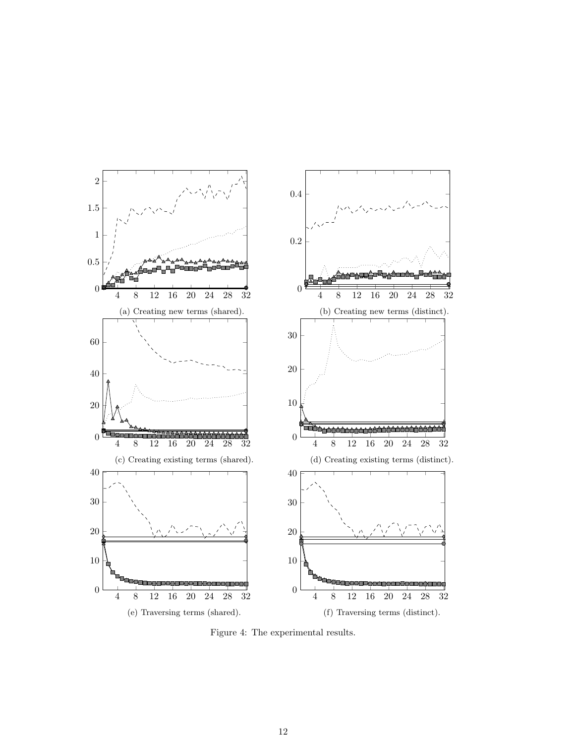<span id="page-11-0"></span>

Figure 4: The experimental results.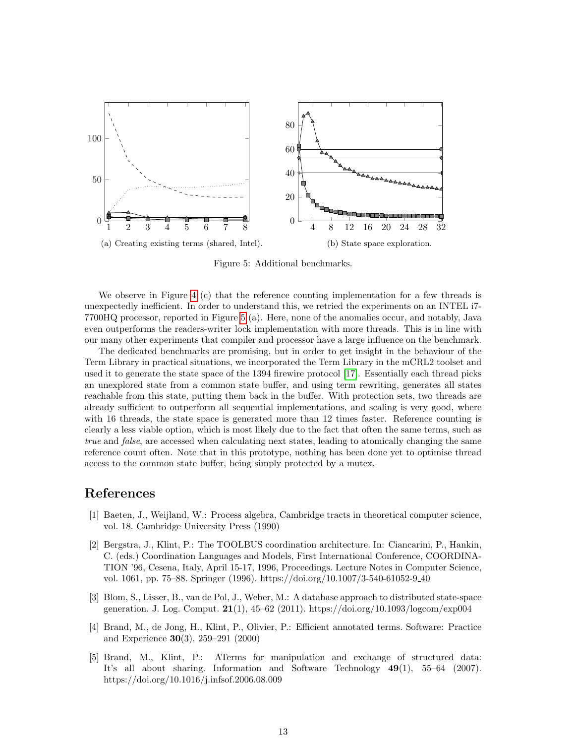<span id="page-12-4"></span>

Figure 5: Additional benchmarks.

We observe in Figure [4](#page-11-0) (c) that the reference counting implementation for a few threads is unexpectedly inefficient. In order to understand this, we retried the experiments on an INTEL i7- 7700HQ processor, reported in Figure [5](#page-12-4) (a). Here, none of the anomalies occur, and notably, Java even outperforms the readers-writer lock implementation with more threads. This is in line with our many other experiments that compiler and processor have a large influence on the benchmark.

The dedicated benchmarks are promising, but in order to get insight in the behaviour of the Term Library in practical situations, we incorporated the Term Library in the mCRL2 toolset and used it to generate the state space of the 1394 firewire protocol [\[17\]](#page-13-14). Essentially each thread picks an unexplored state from a common state buffer, and using term rewriting, generates all states reachable from this state, putting them back in the buffer. With protection sets, two threads are already sufficient to outperform all sequential implementations, and scaling is very good, where with 16 threads, the state space is generated more than 12 times faster. Reference counting is clearly a less viable option, which is most likely due to the fact that often the same terms, such as true and false, are accessed when calculating next states, leading to atomically changing the same reference count often. Note that in this prototype, nothing has been done yet to optimise thread access to the common state buffer, being simply protected by a mutex.

## References

- <span id="page-12-5"></span>[1] Baeten, J., Weijland, W.: Process algebra, Cambridge tracts in theoretical computer science, vol. 18. Cambridge University Press (1990)
- <span id="page-12-0"></span>[2] Bergstra, J., Klint, P.: The TOOLBUS coordination architecture. In: Ciancarini, P., Hankin, C. (eds.) Coordination Languages and Models, First International Conference, COORDINA-TION '96, Cesena, Italy, April 15-17, 1996, Proceedings. Lecture Notes in Computer Science, vol. 1061, pp. 75–88. Springer (1996). https://doi.org/10.1007/3-540-61052-9 40
- <span id="page-12-2"></span>[3] Blom, S., Lisser, B., van de Pol, J., Weber, M.: A database approach to distributed state-space generation. J. Log. Comput. 21(1), 45–62 (2011). https://doi.org/10.1093/logcom/exp004
- <span id="page-12-1"></span>[4] Brand, M., de Jong, H., Klint, P., Olivier, P.: Efficient annotated terms. Software: Practice and Experience 30(3), 259–291 (2000)
- <span id="page-12-3"></span>[5] Brand, M., Klint, P.: ATerms for manipulation and exchange of structured data: It's all about sharing. Information and Software Technology 49(1), 55–64 (2007). https://doi.org/10.1016/j.infsof.2006.08.009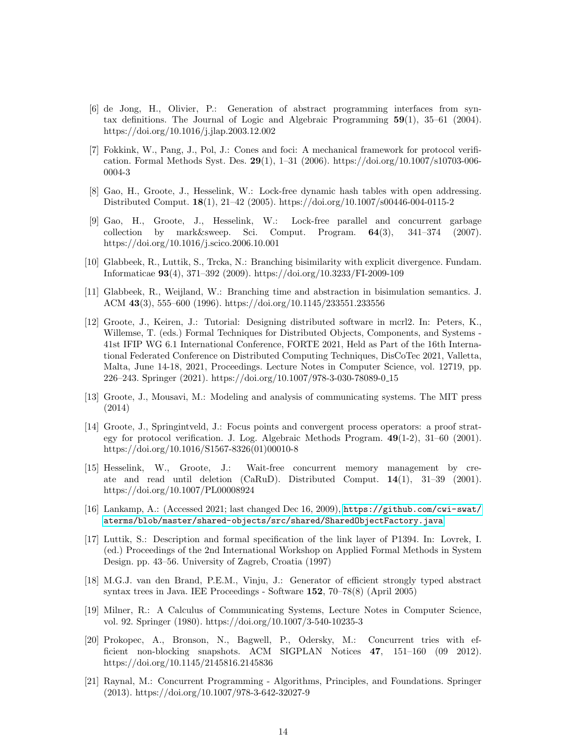- <span id="page-13-0"></span>[6] de Jong, H., Olivier, P.: Generation of abstract programming interfaces from syntax definitions. The Journal of Logic and Algebraic Programming  $59(1)$ ,  $35-61$  (2004). https://doi.org/10.1016/j.jlap.2003.12.002
- <span id="page-13-12"></span>[7] Fokkink, W., Pang, J., Pol, J.: Cones and foci: A mechanical framework for protocol verification. Formal Methods Syst. Des. 29(1), 1–31 (2006). https://doi.org/10.1007/s10703-006- 0004-3
- <span id="page-13-2"></span>[8] Gao, H., Groote, J., Hesselink, W.: Lock-free dynamic hash tables with open addressing. Distributed Comput. 18(1), 21–42 (2005). https://doi.org/10.1007/s00446-004-0115-2
- <span id="page-13-3"></span>[9] Gao, H., Groote, J., Hesselink, W.: Lock-free parallel and concurrent garbage collection by mark&sweep. Sci. Comput. Program. 64(3), 341–374 (2007). https://doi.org/10.1016/j.scico.2006.10.001
- <span id="page-13-9"></span>[10] Glabbeek, R., Luttik, S., Trcka, N.: Branching bisimilarity with explicit divergence. Fundam. Informaticae 93(4), 371–392 (2009). https://doi.org/10.3233/FI-2009-109
- <span id="page-13-10"></span>[11] Glabbeek, R., Weijland, W.: Branching time and abstraction in bisimulation semantics. J. ACM 43(3), 555–600 (1996). https://doi.org/10.1145/233551.233556
- <span id="page-13-11"></span>[12] Groote, J., Keiren, J.: Tutorial: Designing distributed software in mcrl2. In: Peters, K., Willemse, T. (eds.) Formal Techniques for Distributed Objects, Components, and Systems - 41st IFIP WG 6.1 International Conference, FORTE 2021, Held as Part of the 16th International Federated Conference on Distributed Computing Techniques, DisCoTec 2021, Valletta, Malta, June 14-18, 2021, Proceedings. Lecture Notes in Computer Science, vol. 12719, pp. 226–243. Springer (2021). https://doi.org/10.1007/978-3-030-78089-0 15
- <span id="page-13-7"></span>[13] Groote, J., Mousavi, M.: Modeling and analysis of communicating systems. The MIT press (2014)
- <span id="page-13-13"></span>[14] Groote, J., Springintveld, J.: Focus points and convergent process operators: a proof strategy for protocol verification. J. Log. Algebraic Methods Program. 49(1-2), 31–60 (2001). https://doi.org/10.1016/S1567-8326(01)00010-8
- <span id="page-13-4"></span>[15] Hesselink, W., Groote, J.: Wait-free concurrent memory management by create and read until deletion (CaRuD). Distributed Comput. 14(1), 31–39 (2001). https://doi.org/10.1007/PL00008924
- <span id="page-13-5"></span>[16] Lankamp, A.: (Accessed 2021; last changed Dec 16, 2009), [https://github.com/cwi-swat/](https://github.com/cwi-swat/aterms/blob/master/shared-objects/src/shared/SharedObjectFactory.java) [aterms/blob/master/shared-objects/src/shared/SharedObjectFactory.java](https://github.com/cwi-swat/aterms/blob/master/shared-objects/src/shared/SharedObjectFactory.java)
- <span id="page-13-14"></span>[17] Luttik, S.: Description and formal specification of the link layer of P1394. In: Lovrek, I. (ed.) Proceedings of the 2nd International Workshop on Applied Formal Methods in System Design. pp. 43–56. University of Zagreb, Croatia (1997)
- <span id="page-13-1"></span>[18] M.G.J. van den Brand, P.E.M., Vinju, J.: Generator of efficient strongly typed abstract syntax trees in Java. IEE Proceedings - Software 152, 70–78(8) (April 2005)
- <span id="page-13-15"></span>[19] Milner, R.: A Calculus of Communicating Systems, Lecture Notes in Computer Science, vol. 92. Springer (1980). https://doi.org/10.1007/3-540-10235-3
- <span id="page-13-8"></span>[20] Prokopec, A., Bronson, N., Bagwell, P., Odersky, M.: Concurrent tries with efficient non-blocking snapshots. ACM SIGPLAN Notices 47, 151–160 (09 2012). https://doi.org/10.1145/2145816.2145836
- <span id="page-13-6"></span>[21] Raynal, M.: Concurrent Programming - Algorithms, Principles, and Foundations. Springer (2013). https://doi.org/10.1007/978-3-642-32027-9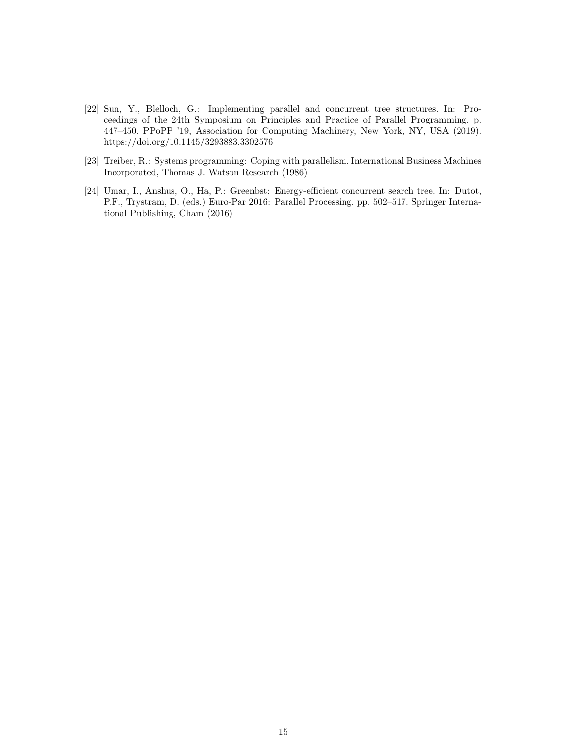- <span id="page-14-1"></span>[22] Sun, Y., Blelloch, G.: Implementing parallel and concurrent tree structures. In: Proceedings of the 24th Symposium on Principles and Practice of Parallel Programming. p. 447–450. PPoPP '19, Association for Computing Machinery, New York, NY, USA (2019). https://doi.org/10.1145/3293883.3302576
- <span id="page-14-2"></span>[23] Treiber, R.: Systems programming: Coping with parallelism. International Business Machines Incorporated, Thomas J. Watson Research (1986)
- <span id="page-14-0"></span>[24] Umar, I., Anshus, O., Ha, P.: Greenbst: Energy-efficient concurrent search tree. In: Dutot, P.F., Trystram, D. (eds.) Euro-Par 2016: Parallel Processing. pp. 502–517. Springer International Publishing, Cham (2016)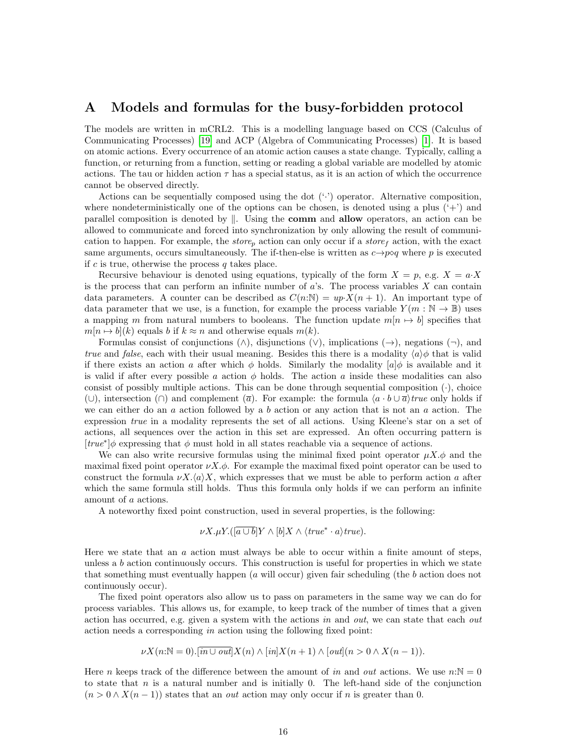### <span id="page-15-0"></span>A Models and formulas for the busy-forbidden protocol

The models are written in mCRL2. This is a modelling language based on CCS (Calculus of Communicating Processes) [\[19\]](#page-13-15) and ACP (Algebra of Communicating Processes) [\[1\]](#page-12-5). It is based on atomic actions. Every occurrence of an atomic action causes a state change. Typically, calling a function, or returning from a function, setting or reading a global variable are modelled by atomic actions. The tau or hidden action  $\tau$  has a special status, as it is an action of which the occurrence cannot be observed directly.

Actions can be sequentially composed using the dot  $(\cdot)$  operator. Alternative composition, where nondeterministically one of the options can be chosen, is denoted using a plus  $(2)$  and parallel composition is denoted by  $\parallel$ . Using the **comm** and **allow** operators, an action can be allowed to communicate and forced into synchronization by only allowing the result of communication to happen. For example, the *store*<sub>p</sub> action can only occur if a *store<sub>f</sub>* action, with the exact same arguments, occurs simultaneously. The if-then-else is written as  $c \rightarrow p \circ q$  where p is executed if  $c$  is true, otherwise the process  $q$  takes place.

Recursive behaviour is denoted using equations, typically of the form  $X = p$ , e.g.  $X = a \cdot X$ is the process that can perform an infinite number of  $a$ 's. The process variables  $X$  can contain data parameters. A counter can be described as  $C(n:\mathbb{N}) = up \cdot X(n+1)$ . An important type of data parameter that we use, is a function, for example the process variable  $Y(m : \mathbb{N} \to \mathbb{B})$  uses a mapping m from natural numbers to booleans. The function update  $m[n \mapsto b]$  specifies that  $m[n \mapsto b](k)$  equals b if  $k \approx n$  and otherwise equals  $m(k)$ .

Formulas consist of conjunctions  $(\wedge)$ , disjunctions  $(\vee)$ , implications  $(\rightarrow)$ , negations  $(\neg)$ , and true and false, each with their usual meaning. Besides this there is a modality  $\langle a \rangle \phi$  that is valid if there exists an action a after which  $\phi$  holds. Similarly the modality  $[a]\phi$  is available and it is valid if after every possible a action  $\phi$  holds. The action a inside these modalities can also consist of possibly multiple actions. This can be done through sequential composition  $(\cdot)$ , choice (∪), intersection (∩) and complement  $(\overline{a})$ . For example: the formula  $\langle a \cdot b \cup \overline{a} \rangle$ *true* only holds if we can either do an  $a$  action followed by a  $b$  action or any action that is not an  $a$  action. The expression *true* in a modality represents the set of all actions. Using Kleene's star on a set of actions, all sequences over the action in this set are expressed. An often occurring pattern is  $[true^*]\phi$  expressing that  $\phi$  must hold in all states reachable via a sequence of actions.

We can also write recursive formulas using the minimal fixed point operator  $\mu X.\phi$  and the maximal fixed point operator  $\nu X.\phi$ . For example the maximal fixed point operator can be used to construct the formula  $\nu X.\langle a \rangle X$ , which expresses that we must be able to perform action a after which the same formula still holds. Thus this formula only holds if we can perform an infinite amount of a actions.

A noteworthy fixed point construction, used in several properties, is the following:

$$
\nu X.\mu Y.([\overline{a \cup b}] Y \wedge [b] X \wedge \langle true^* \cdot a \rangle true).
$$

Here we state that an  $a$  action must always be able to occur within a finite amount of steps, unless a b action continuously occurs. This construction is useful for properties in which we state that something must eventually happen (a will occur) given fair scheduling (the b action does not continuously occur).

The fixed point operators also allow us to pass on parameters in the same way we can do for process variables. This allows us, for example, to keep track of the number of times that a given action has occurred, e.g. given a system with the actions in and out, we can state that each out action needs a corresponding in action using the following fixed point:

$$
\nu X(n:\mathbb{N}=0).[\overline{in \cup out}]X(n) \wedge [in]X(n+1) \wedge [out](n>0 \wedge X(n-1)).
$$

Here n keeps track of the difference between the amount of in and out actions. We use  $n:\mathbb{N} = 0$ to state that n is a natural number and is initially 0. The left-hand side of the conjunction  $(n > 0 \land X(n-1))$  states that an *out* action may only occur if n is greater than 0.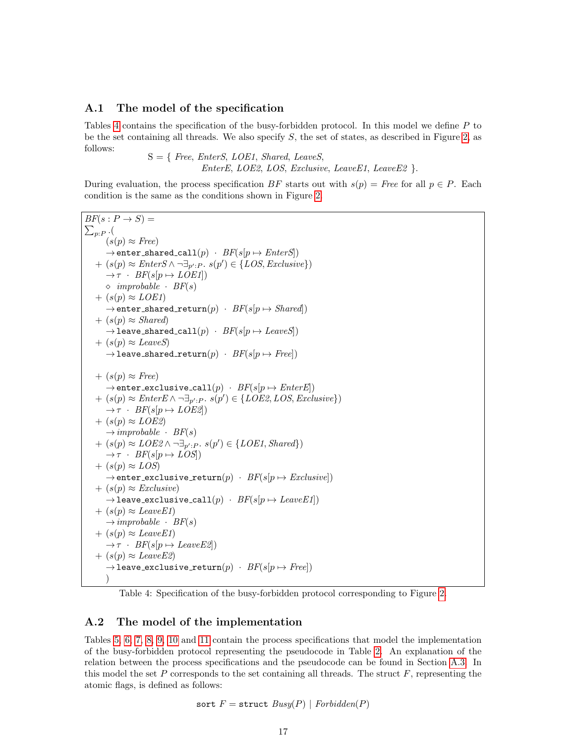### A.1 The model of the specification

Tables [4](#page-16-0) contains the specification of the busy-forbidden protocol. In this model we define P to be the set containing all threads. We also specify  $S$ , the set of states, as described in Figure [2,](#page-5-0) as follows:

 $S = \{$  Free, EnterS, LOE1, Shared, LeaveS,  $EnterE, LOE2, LOS, Exclusive, LeaveE1, LeaveE2$  }.

During evaluation, the process specification BF starts out with  $s(p) = Free$  for all  $p \in P$ . Each condition is the same as the conditions shown in Figure [2.](#page-5-0)

<span id="page-16-0"></span>
$$
BF(s: P \rightarrow S) =
$$
\n
$$
\sum_{p:P} .(s(p) \approx Free)
$$
\n
$$
\rightarrow enter\; shared\;call(p) \cdot BF(s[p \leftrightarrow EnterS])
$$
\n
$$
+ (s(p) \approx EnterS \land \neg \exists_{p':P}. s(p') \in \{LOS, Exclusive\})
$$
\n
$$
\rightarrow \tau \cdot BF(s[p \leftrightarrow LOE1])
$$
\n
$$
\sim importable \cdot BF(s)
$$
\n
$$
+ (s(p) \approx LOE1)
$$
\n
$$
\rightarrow enter\; shared \cdot return(p) \cdot BF(s[p \leftrightarrow Shared])
$$
\n
$$
+ (s(p) \approx Shared \cdot actual(p) \cdot BF(s[p \leftrightarrow BecauseS])
$$
\n
$$
+ (s(p) \approx Leaves)
$$
\n
$$
\rightarrow leave\;shared\;return(p) \cdot BF(s[p \leftrightarrow Free])
$$
\n
$$
+ (s(p) \approx Free)
$$
\n
$$
\rightarrow enter\;exclusive\;call(p) \cdot BF(s[p \leftrightarrow EnterE])
$$
\n
$$
+ (s(p) \approx EnterE \land \neg \exists_{p':P}. s(p') \in \{LOE2, LOS, Exclusive\})
$$
\n
$$
\rightarrow \tau \cdot BF(s[p \leftrightarrow LOE2])
$$
\n
$$
+ (s(p) \approx LOE2)
$$
\n
$$
\rightarrow importable \cdot BF(s)
$$
\n
$$
+ (s(p) \approx LOE2 \land \neg \exists_{p':P}. s(p') \in \{LOE1, Shared\})
$$
\n
$$
\rightarrow \tau \cdot BF(s[p \leftrightarrow LOS])
$$
\n
$$
+ (s(p) \approx LOB)
$$
\n
$$
\rightarrow enter\;exclusive\;return(p) \cdot BF(s[p \leftrightarrow Exclusive])
$$
\n
$$
+ (s(p) \approx Lexlusive)
$$
\n
$$
\rightarrow leave\;exclusive\;call(p) \cdot BF(s[p \leftrightarrow Lexlusive])
$$
\n
$$
+ (s(p) \approx LeavesI)
$$
\n
$$
\rightarrow importable \cdot BF(s)
$$
\n
$$
+ (s(p) \approx LeavesI)
$$
\n
$$
\rightarrow \tau \cdot BF(s[p \leftrightarrow Leaves2])
$$
\n
$$
+ (s(p) \approx LeavesI)
$$
\n
$$
\rightarrow false
$$
\n
$$
+ (s(p) \approx LeavesI)
$$
\n
$$
\rightarrow false
$$
\n
$$
+ (s
$$

Table 4: Specification of the busy-forbidden protocol corresponding to Figure [2.](#page-5-0)

### A.2 The model of the implementation

Tables [5,](#page-18-0) [6,](#page-18-1) [7,](#page-18-2) [8,](#page-19-0) [9,](#page-19-1) [10](#page-19-2) and [11](#page-20-0) contain the process specifications that model the implementation of the busy-forbidden protocol representing the pseudocode in Table [2.](#page-6-0) An explanation of the relation between the process specifications and the pseudocode can be found in Section [A.3.](#page-17-0) In this model the set  $P$  corresponds to the set containing all threads. The struct  $F$ , representing the atomic flags, is defined as follows:

sort  $F =$  struct  $Busy(P)$  |  $Forbidden(P)$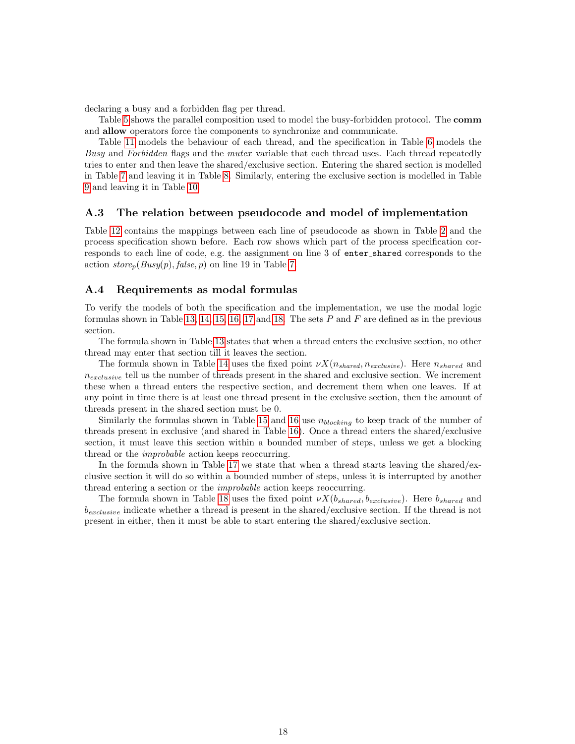declaring a busy and a forbidden flag per thread.

Table [5](#page-18-0) shows the parallel composition used to model the busy-forbidden protocol. The comm and allow operators force the components to synchronize and communicate.

Table [11](#page-20-0) models the behaviour of each thread, and the specification in Table [6](#page-18-1) models the Busy and Forbidden flags and the mutex variable that each thread uses. Each thread repeatedly tries to enter and then leave the shared/exclusive section. Entering the shared section is modelled in Table [7](#page-18-2) and leaving it in Table [8.](#page-19-0) Similarly, entering the exclusive section is modelled in Table [9](#page-19-1) and leaving it in Table [10.](#page-19-2)

#### <span id="page-17-0"></span>A.3 The relation between pseudocode and model of implementation

Table [12](#page-20-1) contains the mappings between each line of pseudocode as shown in Table [2](#page-6-0) and the process specification shown before. Each row shows which part of the process specification corresponds to each line of code, e.g. the assignment on line 3 of enter shared corresponds to the action  $store_p(Busy(p), false, p)$  on line 19 in Table [7.](#page-18-2)

#### A.4 Requirements as modal formulas

To verify the models of both the specification and the implementation, we use the modal logic formulas shown in Table [13,](#page-20-2) [14,](#page-20-3) [15,](#page-21-0) [16,](#page-22-0) [17](#page-23-0) and [18.](#page-23-1) The sets  $P$  and  $F$  are defined as in the previous section.

The formula shown in Table [13](#page-20-2) states that when a thread enters the exclusive section, no other thread may enter that section till it leaves the section.

The formula shown in Table [14](#page-20-3) uses the fixed point  $\nu X(n_{shared}, n_{exclude})$ . Here  $n_{shared}$  and  $n_{exclusive}$  tell us the number of threads present in the shared and exclusive section. We increment these when a thread enters the respective section, and decrement them when one leaves. If at any point in time there is at least one thread present in the exclusive section, then the amount of threads present in the shared section must be 0.

Similarly the formulas shown in Table [15](#page-21-0) and [16](#page-22-0) use  $n_{blocking}$  to keep track of the number of threads present in exclusive (and shared in Table [16\)](#page-22-0). Once a thread enters the shared/exclusive section, it must leave this section within a bounded number of steps, unless we get a blocking thread or the improbable action keeps reoccurring.

In the formula shown in Table [17](#page-23-0) we state that when a thread starts leaving the shared/exclusive section it will do so within a bounded number of steps, unless it is interrupted by another thread entering a section or the improbable action keeps reoccurring.

The formula shown in Table [18](#page-23-1) uses the fixed point  $\nu X(b_{shared}, b_{exclude})$ . Here  $b_{shared}$  and  $b_{exclusive}$  indicate whether a thread is present in the shared/exclusive section. If the thread is not present in either, then it must be able to start entering the shared/exclusive section.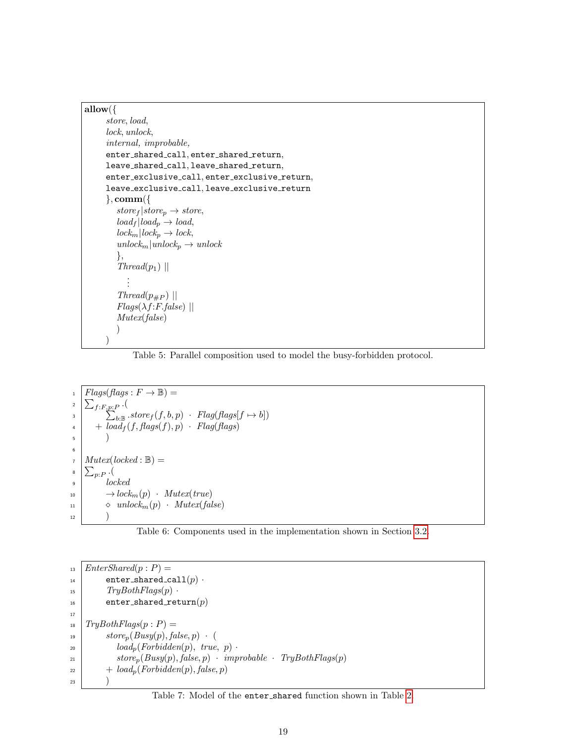```
allow({
      store, load,
      lock, unlock,
      internal, improbable,
      enter_shared_call, enter_shared_return,
      leave shared call, leave shared return,
      enter_exclusive_call, enter_exclusive_return,
      leave_exclusive_call, leave_exclusive_return
      \}, comm(\}store_f | store_p \rightarrow store,load_f |load_p \rightarrow load,lock_m|lock_p \rightarrow lock,unlock<sub>m</sub>|unlock<sub>p</sub> \rightarrow unlock},
         Thread(p_1)|
            .
            .
            .
         Thread(p_{\#P}) ||
         Flags(\lambda f: F.false)||
         Mutex(false)
         )
      )
```
Table 5: Parallel composition used to model the busy-forbidden protocol.

```
\sum_{f: F, p: P} .(Flags(Figs \rightarrow \mathbb{B}) =b \text{: } B \text{: } store_f(f, b, p) \cdot Flag(hags[f \mapsto b])+ load<sub>f</sub>(f, \text{flags}(f), p) \cdot Flag(\text{flags})\lambdaMutex(locked: \mathbb{B}) =\sum_{p:\,P} .(
              locked
              \rightarrow lock_m(p) · Mutex(true)
              \Diamond unlock<sub>m</sub>(p) · Mutex(false)
               )
1
2
3
4
 5
 6
 7
8
 9
10
11
12
```
Table 6: Components used in the implementation shown in Section [3.2.](#page-6-1)

```
EnterShared(p : P) =enter_shared_call(p).
          TryBothFlags(p).
          enter\_shared\_return(p)TryBothFlags(p : P) =store_p(Busy(p), false, p) · (
             load_p(Forbidden(p), true, p).
             store_p(Busy(p), false, p) \cdot import#proptable \cdot TryBothFlags(p)+ load<sub>p</sub>(Forbidden(p), false, p)
          \lambda13
14
15
16
17
18
19
20
21
22
23
```
Table 7: Model of the enter shared function shown in Table [2.](#page-6-0)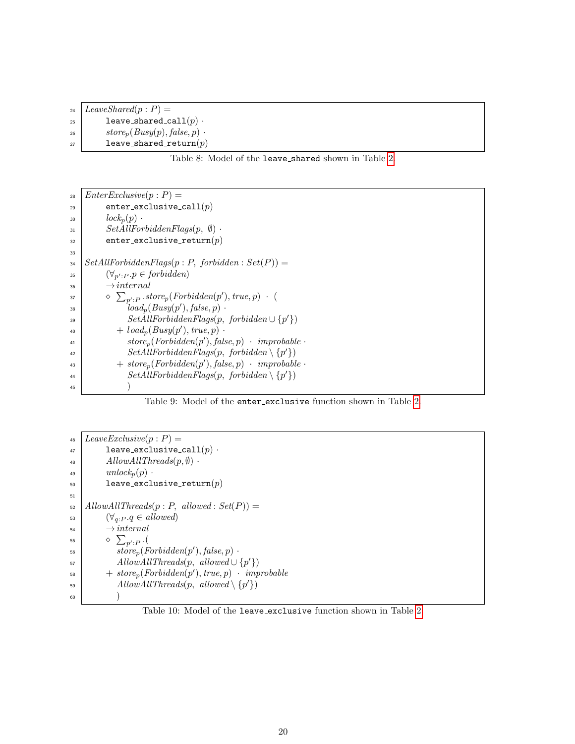<span id="page-19-0"></span>

|    | <sup>24</sup> LeaveShared(p: P) = |
|----|-----------------------------------|
| 25 | leave_shared_call $(p)$ .         |
| 26 | $store_p(Busy(p), false, p)$ .    |
| 27 | leave_shared_return $(p)$         |

Table 8: Model of the leave shared shown in Table [2.](#page-6-0)

<span id="page-19-1"></span>

| 28 | $EnterExchange(p: P) =$                                     |
|----|-------------------------------------------------------------|
| 29 | enter_exclusive_call $(p)$                                  |
| 30 | $lock_p(p)$ .                                               |
| 31 | $SetAllForbiddenFlags(p, \emptyset)$ .                      |
| 32 | enter_exclusive_return $(p)$                                |
| 33 |                                                             |
| 34 | $SetAllForbiddenFlags(p: P, forbidden:Set(P)) =$            |
| 35 | $(\forall_{p':P} . p \in forbidden)$                        |
| 36 | $\rightarrow$ <i>internal</i>                               |
| 37 | $\Diamond \sum_{p':P} store_p(Forbidden(p'), true, p)$ (    |
| 38 | $load_n(Busy(p'), false, p)$ .                              |
| 39 | $SetAllForbiddenFlags(p, forbidden \cup \{p'\})$            |
| 40 | $+$ load <sub>p</sub> $(Busy(p'), true, p)$ .               |
| 41 | $store_p(Forbidden(p'), false, p) \cdot importable \cdot$   |
| 42 | $SetAllForbiddenFlags(p, forbidden \ \{p'\})$               |
| 43 | $+ store_p(Forbidden(p'), false, p) \cdot improbable \cdot$ |
| 44 | $SetAllForbiddenFlags(p, forbidden \ \{p'\})$               |
| 45 |                                                             |

Table 9: Model of the enter exclusive function shown in Table [2.](#page-6-0)

<span id="page-19-2"></span>

| 46 | $LeaveExclusive (p: P) =$                            |
|----|------------------------------------------------------|
| 47 | leave_exclusive_call $(p)$ .                         |
| 48 | $AllowAllThreads(p, \emptyset)$ .                    |
| 49 | $unlock_p(p)$ .                                      |
| 50 | leave_exclusive_return $(p)$                         |
| 51 |                                                      |
| 52 | $AllowAllThreads(p: P, allowed: Set(P)) =$           |
| 53 | $(\forall_{q:P}.q \in allowed)$                      |
| 54 | $\rightarrow$ internal                               |
| 55 | $\Diamond \sum_{p':P} .$                             |
| 56 | $store_p(Forbidden(p'), false, p)$ .                 |
| 57 | AllowAllThreads(p, allowed $\cup \{p'\}\$ )          |
| 58 | $+ store_p(Forbidden(p'), true, p) \cdot improbable$ |
| 59 | $AllowAllThreads(p, allowed \ (p')\)$                |
| 60 |                                                      |

Table 10: Model of the leave exclusive function shown in Table [2.](#page-6-0)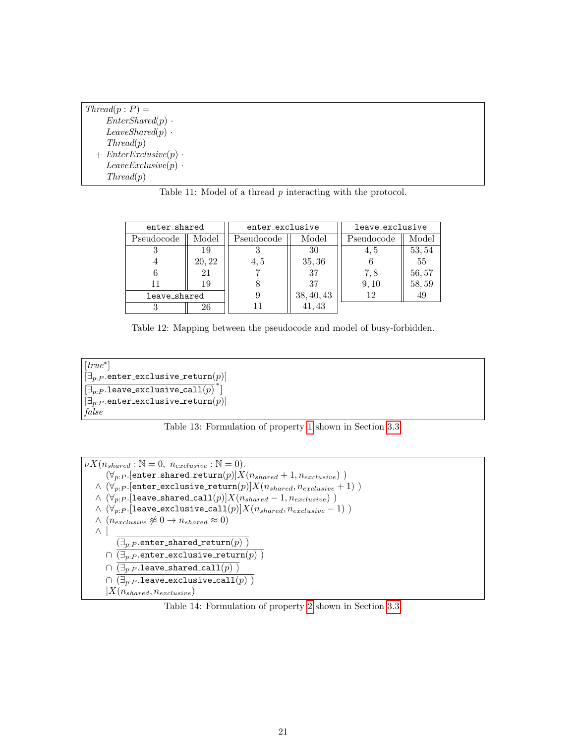<span id="page-20-0"></span>

| $Thread(p : P) =$             |
|-------------------------------|
| EnterShared(p)                |
| $Leaveshared(p)$ .            |
| Thread(p)                     |
| $+$ EnterExclusive(p) $\cdot$ |
| $LeaveExclusive(p)$ .         |
| Thread(p)                     |

Table 11: Model of a thread  $p$  interacting with the protocol.

<span id="page-20-1"></span>

| enter_shared |        | enter_exclusive |            | leave_exclusive |        |  |  |
|--------------|--------|-----------------|------------|-----------------|--------|--|--|
| Pseudocode   | Model  | Pseudocode      | Model      | Pseudocode      | Model  |  |  |
|              | 19     |                 | 30         | 4,5             | 53, 54 |  |  |
|              | 20, 22 | 4,5             | 35, 36     |                 | 55     |  |  |
|              | 21     |                 | 37         | 7,8             | 56, 57 |  |  |
|              | 19     |                 | 37         | 9,10            | 58,59  |  |  |
| leave_shared |        |                 | 38, 40, 43 | 12              | 49     |  |  |
|              | 26     |                 | 41, 43     |                 |        |  |  |

Table 12: Mapping between the pseudocode and model of busy-forbidden.

```
[true∗
]
[\exists_{p:P}.enter_exclusive_return(p)]\left[\overline{\exists_{p:P}.\texttt{leave\_exclusive\_call}(p)}^{*}\right][\exists_{p:P}.enter_exclusive_return(p)]false
```
Table 13: Formulation of property [1](#page-7-5) shown in Section [3.3.](#page-7-4)

```
\nu X(n_{shared}: \mathbb{N} = 0, n_{exclusive}: \mathbb{N} = 0).(\forall_{p:P}.[enter_shared_return(p)]X(n_{shared} + 1, n_{exclusive}))
   \wedge (\forall_{p:P} [enter_exclusive_return(p)]X(n_{shared}, n_{exclusive} + 1))
   \wedge (\forall_{p:P}.[leave_shared_call(p)]X(n_{shared}-1, n_{exclusive}))
   \wedge (\forall_{p:P}[leave_exclusive_call(p)]X(n_{shared}, n_{exclusive}-1))
   \wedge (n_{exclusive} \not\approx 0 \rightarrow n_{shared} \approx 0)∧ [
           \overline{(\exists_{p:P}.\texttt{enter\_shared\_return}(p)\mid)}\cap (\exists_{p:P} enter_exclusive_return(p))
       \cap \overline{(\exists_{p:P}.\texttt{leave\_shared\_call}(p))}\cap \overline{(\exists_{n:P}.\text{leave-exclusive\_call}(p))}X(n_{shared}, n_{exclusive})
```
Table 14: Formulation of property [2](#page-7-3) shown in Section [3.3.](#page-7-4)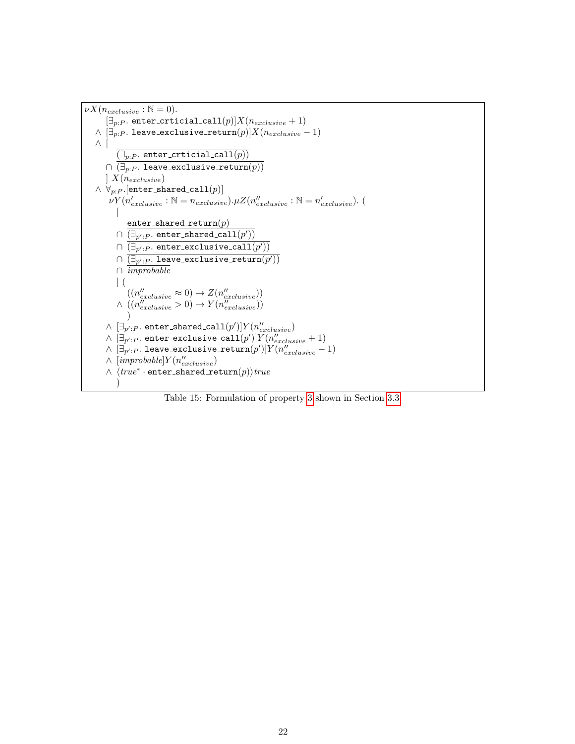```
\nu X(n_{exclusive}: \mathbb{N} = 0).[\exists_{p:P}. enter_crticial_call(p)]X(n_{exclusive} + 1)\land [∃<sub>p:</sub>P. leave_exclusive_return(p)]X(n_{exclusive}-1)∧ [
            (\exists_{p:P}. enter_crticial_call(p))\cap \overline{(\exists_{p:P}.\text{ leave\_exclusive\_return}(p))}\int X(n_{exclusive})\land \forall_{p:P}.[enter_shared_call(p)]
         \nu Y(n'_{exclusive} : \mathbb{N} = n_{exclusive}) . \mu Z(n''_{exclusive} : \mathbb{N} = n'_{exclusive}) . (
            [
                \overline{\mathsf{enter\_shared\_return}(p)}\cap (\exists_{p':P}. enter_shared_call(p'))
            \cap (\exists_{p':P}. enter_exclusive_call(p'))\cap~(\exists_{p':P}.\texttt{ leave\_exclusive\_return}(p'))\cap improbable
           ] (
                ((n''_{exclusive} \approx 0) \rightarrow Z(n''_{exclusive}))\wedge ((n_{exclusive}^{ii}) > 0) \rightarrow Y(n_{exclusive}^{ii}))
        \wedge \ [\exists_{p':P}.\ \mathtt{enter\_shared\_call}(p')]Y(n''_{exclusive})\wedge \ [\exists_{p':P} . \text{ enter\_exclusive\_call}(p')] Y (n''_{exclusive} + 1)\wedge \ [\exists_{p':P}.\ \texttt{leave-exclusive}\_\texttt{return}(p')]Y(n''_{exclusive}-1)\wedge [improbable]Y(n''_{exclusive})\land \langle true^* \cdot \texttt{enter\_shared\_return}(p) \rangle true)
```
Table 15: Formulation of property [3](#page-7-0) shown in Section [3.3.](#page-7-4)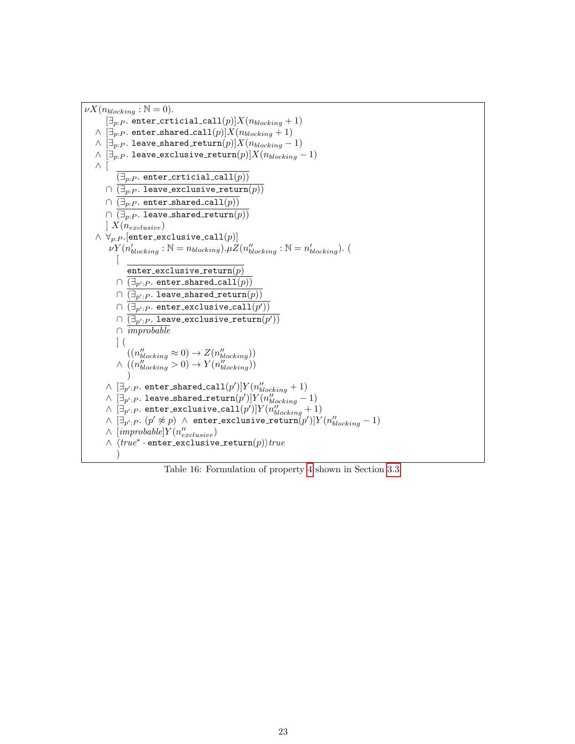<span id="page-22-0"></span>

Table 16: Formulation of property [4](#page-7-1) shown in Section [3.3.](#page-7-4)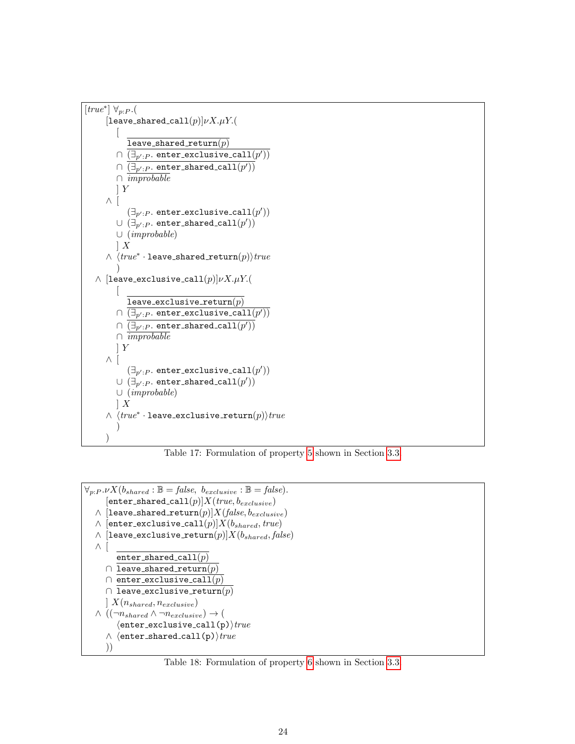```
[true<sup>*</sup>] \forall_{p:P}.(
      [leave_shared_call(p)|\nu X.\mu Y.[
              leave_shared_return(p)\cap (\exists_{p':P}. enter_exclusive_call(p'))\cap (\exists_{p':P} . <code>enter_shared_call(p') )</code>
          ∩ improbable
          \mid Y∧ [
              (\exists_{p':P}. enter_exclusive_call(p'))
          \cup (\exists_{p':P}. enter_shared_call(p'))∪ (improbable)
          \mid X\wedge \langle \mathit{true}^* \cdot \texttt{leave\_shared\_return}(p) \rangle \mathit{true})
   \wedge [leave_exclusive_call(p)|\nu X.\mu Y.(
          [
              leave_exclusive_return(p)\cap (\exists_{p':P}. enter_exclusive_call(p'))\cap (\exists_{p':P} . enter_shared_call(p') )∩ improbable
          \mid Y \mid∧ [
              (\exists_{p':P}. enter_exclusive_call(p'))
          \cup (\exists_{p':P}. enter_shared_call(p'))∪ (improbable)
          \mid X\wedge \ \langle \mathit{true}^* \cdot \texttt{leave\_exclusive\_return}(p) \rangle \mathit{true})
       )
```
Table 17: Formulation of property [5](#page-7-2) shown in Section [3.3.](#page-7-4)

```
\forall_{p:P}.\nu X(b_{shared} : \mathbb{B} = false, b_{exclusive} : \mathbb{B} = false).[\texttt{enter\_shared\_call}(p)]X(\mathit{true}, \mathit{b}_{exclusive})\wedge [leave_shared_return(p)]X(false, b_{exclusive})\wedge [enter_exclusive_call(p)]X(b_{shared}, true)\wedge [leave_exclusive_return(p)|X(b_{shared}, false)|∧ [
          enter_shared_call(p)\cap leave_shared_return(p)\cap enter_exclusive_call(p)\cap leave_exclusive_return(p)\int X(n_{shared}, n_{exclusive})\wedge ((\neg n_{shared} \wedge \neg n_{exclusive}) \rightarrow (\langleenter_exclusive_call(p)\rangletrue
      \wedge \langle enter_shared_call(p)\rangletrue
      ))
```
Table 18: Formulation of property [6](#page-7-6) shown in Section [3.3.](#page-7-4)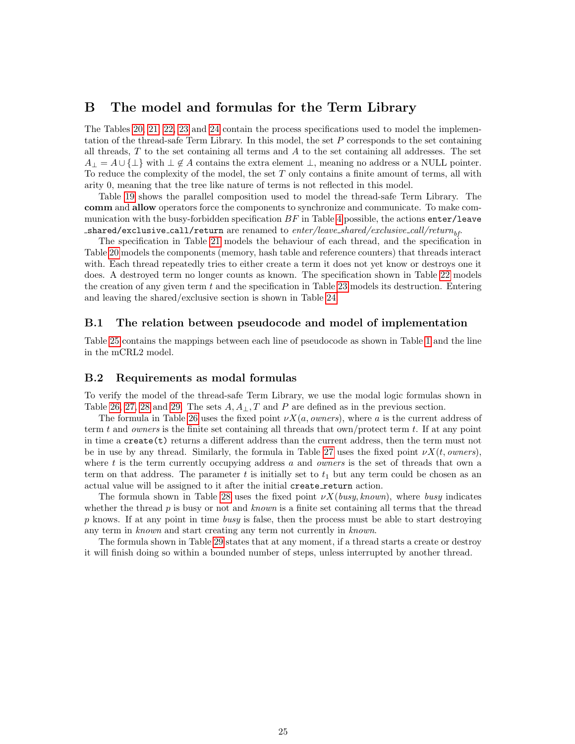## <span id="page-24-0"></span>B The model and formulas for the Term Library

The Tables [20,](#page-26-0) [21,](#page-26-1) [22,](#page-27-0) [23](#page-28-0) and [24](#page-28-1) contain the process specifications used to model the implementation of the thread-safe Term Library. In this model, the set P corresponds to the set containing all threads,  $T$  to the set containing all terms and  $A$  to the set containing all addresses. The set  $A_{\perp} = A \cup {\perp}$  with  $\perp \notin A$  contains the extra element  $\perp$ , meaning no address or a NULL pointer. To reduce the complexity of the model, the set  $T$  only contains a finite amount of terms, all with arity 0, meaning that the tree like nature of terms is not reflected in this model.

Table [19](#page-25-0) shows the parallel composition used to model the thread-safe Term Library. The comm and allow operators force the components to synchronize and communicate. To make communication with the busy-forbidden specification  $BF$  in Table [4](#page-16-0) possible, the actions enter/leave shared/exclusive\_call/return are renamed to enter/leave\_shared/exclusive\_call/return<sub>bf</sub>.

The specification in Table [21](#page-26-1) models the behaviour of each thread, and the specification in Table [20](#page-26-0) models the components (memory, hash table and reference counters) that threads interact with. Each thread repeatedly tries to either create a term it does not yet know or destroys one it does. A destroyed term no longer counts as known. The specification shown in Table [22](#page-27-0) models the creation of any given term  $t$  and the specification in Table [23](#page-28-0) models its destruction. Entering and leaving the shared/exclusive section is shown in Table [24.](#page-28-1)

#### B.1 The relation between pseudocode and model of implementation

Table [25](#page-29-0) contains the mappings between each line of pseudocode as shown in Table [1](#page-4-0) and the line in the mCRL2 model.

#### B.2 Requirements as modal formulas

To verify the model of the thread-safe Term Library, we use the modal logic formulas shown in Table [26,](#page-29-1) [27,](#page-29-2) [28](#page-30-0) and [29.](#page-30-1) The sets  $A, A_{\perp}, T$  and P are defined as in the previous section.

The formula in Table [26](#page-29-1) uses the fixed point  $\nu X(a, owners)$ , where a is the current address of term  $t$  and *owners* is the finite set containing all threads that own/protect term  $t$ . If at any point in time a create(t) returns a different address than the current address, then the term must not be in use by any thread. Similarly, the formula in Table [27](#page-29-2) uses the fixed point  $\nu X(t, \text{owners})$ , where t is the term currently occupying address a and *owners* is the set of threads that own a term on that address. The parameter  $t$  is initially set to  $t_1$  but any term could be chosen as an actual value will be assigned to it after the initial create\_return action.

The formula shown in Table [28](#page-30-0) uses the fixed point  $\nu X(busy, known)$ , where busy indicates whether the thread p is busy or not and known is a finite set containing all terms that the thread  $p$  knows. If at any point in time busy is false, then the process must be able to start destroying any term in known and start creating any term not currently in known.

The formula shown in Table [29](#page-30-1) states that at any moment, if a thread starts a create or destroy it will finish doing so within a bounded number of steps, unless interrupted by another thread.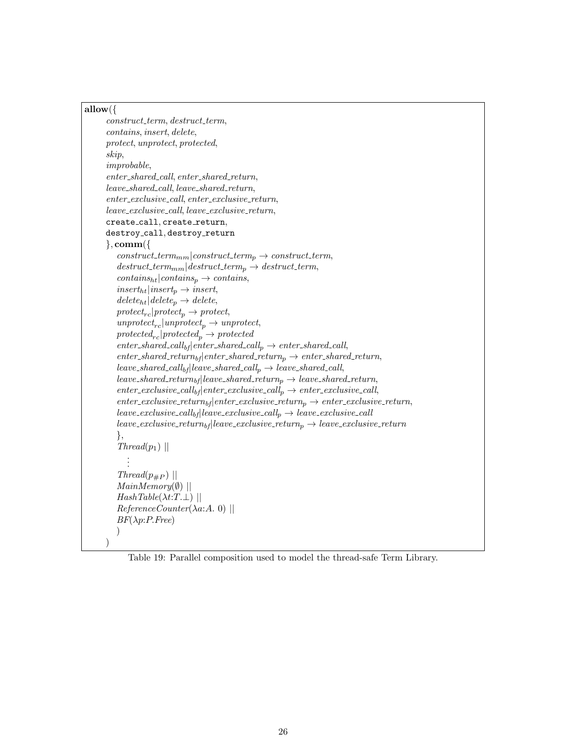```
allow({
```

```
construct\_term, destruct_term,
contains, insert, delete,
protect, unprotect, protected,
skip,
improbable,
enter\_shared\_call, enter\_shared\_return,
leave\_shared\_call, leave\_shared\_return,enter exclusive call, enter exclusive return,
leave exclusive call, leave exclusive return,
create_call, create_return,
destroy_call, destroy_return
\}, comm(\}construct\_term_{mm}|construct\_term_{p} \rightarrow construct\_term,destruct\_term_{mm}|destruct\_term_p \rightarrow destruct\_term,contains_{ht}|contains_{p} \rightarrow contains,insert_{ht}|insert_{p} \rightarrow insert,delete_{ht}|delete_{p} \rightarrow delete,\textit{protect}_{rc}| \textit{protect}_p \rightarrow \textit{protect},unprotect_{rc}|unprotect_{p} \rightarrow unprotect_{r}protected_{rc}|protected_{p} \rightarrow protectedenter\_shared\_call_{bf} enter_shared_call<sub>p</sub> \rightarrow enter_shared_call,
   enter\_shared\_return_{bf} enter shared return<sub>p</sub> \rightarrow enter shared return,
   leave\_shared\_call_{bf}|leave\_shared\_call_{p} \rightarrow leave\_shared\_call,leave\_shared\_return_{bf} | leave\_shared\_return_p \rightarrow leave\_shared\_return,enter\_exclusive\_call_{bf}|enter\_exclusive\_call_{p} \rightarrow enter\_exclusive\_call,enter\_exclusive\_return_{bf} enter \_exclusive\_return_{p} \rightarrow enter\_exclusive\_return_{p}leave\_exclusive\_call_{bf}|leave\_exclusive\_call_{p} \rightarrow leave\_exclusive\_callleave\_exclusive\_return_{bf} | leave\_exclusive\_return_{p} \rightarrow leave\_exclusive\_return\},
   Thread(p_1)|
       .
       .
       .
   Thread(p_{\#P}) ||
   MainMemory(\emptyset) ||
   HashTable(\lambda t:T.\bot)||
   ReferenceCounter(\lambda a:A. 0)||
   BF(\lambda p: P. Free))
)
```
Table 19: Parallel composition used to model the thread-safe Term Library.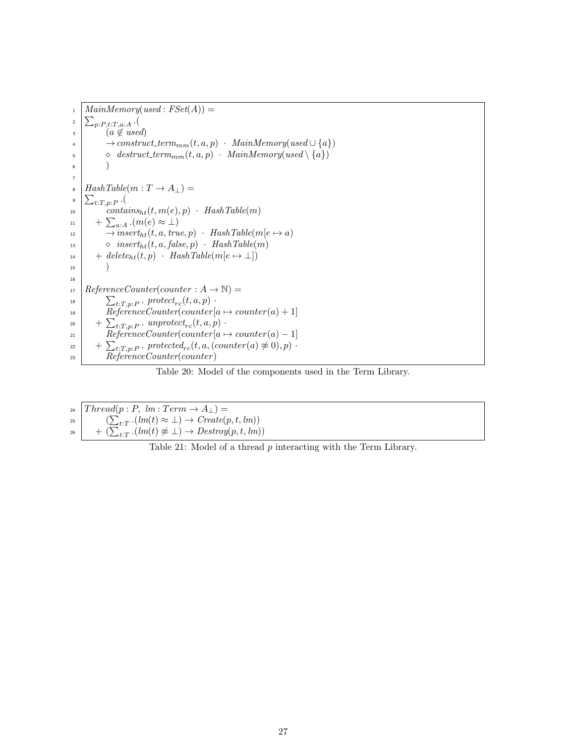<span id="page-26-0"></span> $\sum_{p:P,t:T,a:A}$ .  $MainMemory(used : FSet(A)) =$  $(a \notin used)$  $\rightarrow$  construct\_term<sub>mm</sub>(t, a, p) · MainMemory(used  $\cup \{a\}$ )  $\Diamond$  destruct\_term<sub>mm</sub>(t, a, p) · MainMemory(used \{a}) )  $\sum_{t:T,p:P}$  .(  $HashTable(m: T \rightarrow A_{\perp}) =$  $\widetilde{\mathcal{L}}_contains_{ht}(t, m(e), p)$  · HashTable(m)  $+ \sum_{a:A} (m(e) \approx \bot)$  $\rightarrow insert_{ht}(t, a, true, p)$  · HashTable(m[ $e \mapsto a$ )  $\Diamond$  insert<sub>ht</sub>(t, a, false, p)  $\cdot$  HashTable(m)  $+$  delete<sub>ht</sub> $(t, p)$  · HashTable(m[ $e \mapsto \perp$ ]) )  $ReferenceCounter(counter : A \rightarrow \mathbb{N}) =$  $\sum_{t:T,p:P}$  *protect<sub>rc</sub>* $(t, a, p)$  *·*  $ReferenceCounter(counter[a \rightarrow counter(a) + 1]$  $+ \sum_{t:T,p:P}$ . unprotect<sub>rc</sub>(t, a, p).  $ReferenceCounter(counter[a \rightarrow counter(a) - 1])$  $+ \sum_{t:T,p:P}$  *c* protected<sub>rc</sub>(t, a, (counter(a)  $\not\approx 0$ ), p) · ReferenceCounter(counter) 1 2 3 4 5 6 7 8 9 10 11 12 13 14 15 16 17 18 19 20 21 22 23

#### Table 20: Model of the components used in the Term Library.

<span id="page-26-1"></span> $Thread(p : P, Im : Term \rightarrow A_{\perp}) =$  $(\sum_{t:T} \ldotp (lm(t) \approx \bot) \rightarrow Create(p, t, lm))$  $+$   $(\sum_{t:T} (lm(t) \not\approx \bot) \rightarrow \text{Destroy}(p, t, lm))$ 24 25 26

Table 21: Model of a thread p interacting with the Term Library.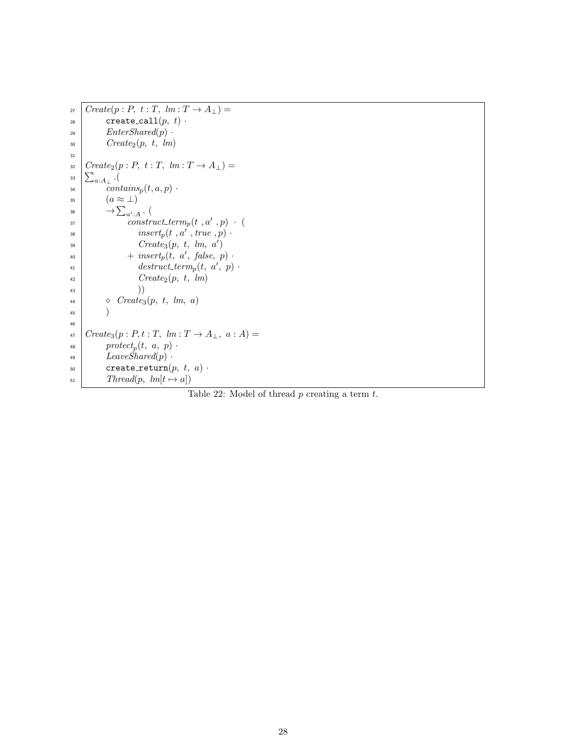```
Create(p : P, t : T, lm : T \rightarrow A_{\perp}) =create_call(p, t).
            EnterShared(p).
            Create_2(p, t, lm)Create_2(p : P, t : T, lm : T \rightarrow A_\perp) =\sum_{a:A_\perp} .(
            \bar{c} contains<sub>p</sub>(t, a, p).
            (a \approx \perp)\rightarrow \sum_{a':A}. (
                   construct\_term_p(t, a', p) (
                       insert_p(t, a', true, p).
                       Create_3(p, t, lm, a')+ insert<sub>p</sub>(t, a', false, p) \cdotdestruct\_term_p(t, a', p).
                       Create_2(p, t, lm)))
            \Diamond Create<sub>3</sub>(p, t, lm, a))
     Create_3(p : P, t : T, Im : T \rightarrow A_{\perp}, a : A) =protect_{p}(t, a, p).
            Leaves \hat{h} \text{ared}(p).
            create_return(p, t, a).
            Thread(p, lm[t \mapsto a])27
28
29
30
31
32
33
34
35
36
37
38
39
40
41
42
43
44
45
46
47
48
49
50
51
```
Table 22: Model of thread  $p$  creating a term  $t$ .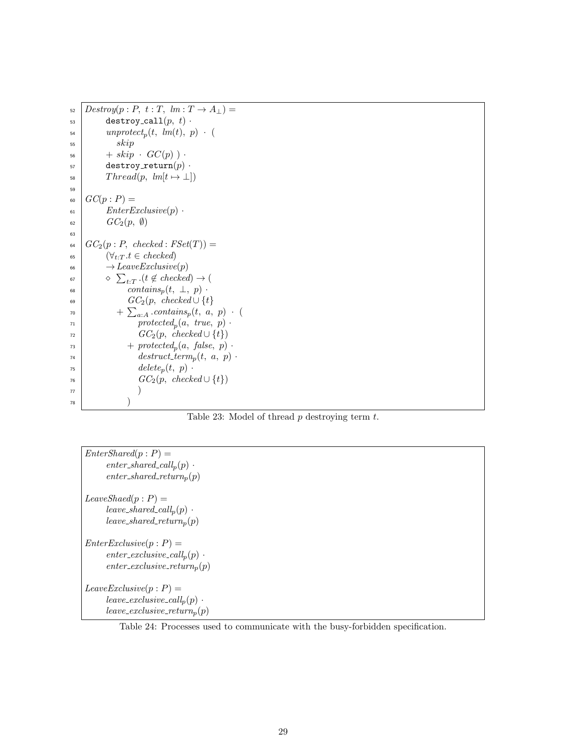```
Destroy(p : P, t : T, lm : T \rightarrow A_{\perp}) =destroy_call(p, t).
             unprotect_{p}(t, lm(t), p) \cdot (skip
            + skip \cdot GC(p) ) \cdotdestroy_return(p).
            Thread(p, lm[t \mapsto \bot])GC(p : P) =EnterExchange(p).
            GC<sub>2</sub>(p, \emptyset)GC<sub>2</sub>(p : P, checked : FSet(T)) =(\forall_{t:T}. t \in checked)\rightarrow LeaveExclusive(p)
             \Diamond \sum_{t:T} .(t \notin checked) \rightarrow (contains_p(t, \perp, p).
                    GC<sub>2</sub>(p, \, checked \cup \{t\}+ \sum_{a:A} .contains_p(t, a, p) \cdot (\text{protected}_p(a, \text{ true}, p).
                       GC_2(p, \text{ } checked \cup \{t\})+ protected<sub>p</sub>(a, false, p) \cdotdestruct\_term_p(t, a, p).
                       delete_p(t, p).
                       GC_2(p, \, checked \cup \{t\}))
                   )
52
53
54
55
56
57
58
59
60
61
62
63
64
65
66
67
68
69
70
71
72
73
74
75
76
77
78
```
Table 23: Model of thread  $p$  destroying term  $t$ .

<span id="page-28-1"></span>

| $EnterShared(p : P) =$          |
|---------------------------------|
| $enter\_shared\_call_p(p)$ .    |
| $enter\_shared\_return_p(p)$    |
|                                 |
| $Leaveshead(p : P) =$           |
| $leave\_shared\_call_p(p)$ .    |
| $leave\_shared\_return_n(p)$    |
|                                 |
| $EnterExchange(p: P) =$         |
| $enter\_exclusive\_call_p(p)$ . |
| $enter\_exclusive\_return_p(p)$ |
|                                 |
| $LeaveExclusive (p : P) =$      |
| $leave\_exclusive\_call_p(p)$ . |
| $leave\_exclusive\_return_p(p)$ |

Table 24: Processes used to communicate with the busy-forbidden specification.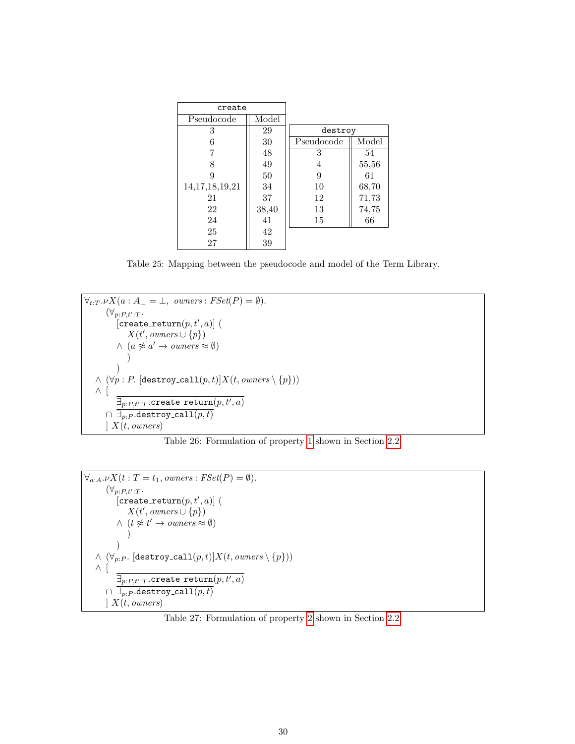<span id="page-29-0"></span>

| create             |       |            |       |
|--------------------|-------|------------|-------|
| Pseudocode         | Model |            |       |
| 3                  | 29    | destroy    |       |
| 6                  | 30    | Pseudocode | Model |
| 7                  | 48    | 3          | 54    |
| 8                  | 49    | 4          | 55,56 |
|                    | 50    | 9          | 61    |
| 14, 17, 18, 19, 21 | 34    | 10         | 68,70 |
| 21                 | 37    | 12         | 71,73 |
| 22                 | 38,40 | 13         | 74,75 |
| 24                 | 41    | 15         | 66    |
| 25                 | 42    |            |       |
| 27                 | 39    |            |       |

Table 25: Mapping between the pseudocode and model of the Term Library.

```
\forall_{t:T}. \nu X(a : A_{\perp} = \perp, \text{ owners} : FSet(P) = \emptyset).(\forall_{p:P,t':T}.[create\_return(p, t', a)] (
                  X(t', \text{owners} \cup \{p\})\wedge (a \not\approx a' \rightarrow owners \approx \emptyset)\lambda\lambda\wedge (\forall p : P. [destroy_call(p, t)]X(t, \text{owners} \setminus \{p\})]
    ∧ [
              \exists_{p:P,t':T}.\texttt{create\_return}(p,t',a)\cap \exists_{p:P}.destroy_call(p,t)\mid X(t, \text{owners})
```
Table 26: Formulation of property [1](#page-3-2) shown in Section [2.2.](#page-3-1)

```
\forall_{a:A}.\nu X(t: T = t_1, \text{owners} : FSet(P) = \emptyset).(\forall_{p:P,t':T}.[create\_return(p, t', a)] (
                   X(t', \text{owners} \cup \{p\})\wedge (t \not\approx t' \rightarrow owners \approx \emptyset)\lambda)
    \wedge (\forall p, P \in [ \texttt{destroy\_call}(p, t) ] X(t, owners \setminus \{p\}))∧ [
              \exists_{p:P,t':T}.\texttt{create\_return}(p,t',a)\cap \overline{\exists_{p:P}.\mathtt{destroy\_call}(p,t)}\mid X(t, \text{owners})
```
Table 27: Formulation of property [2](#page-3-3) shown in Section [2.2.](#page-3-1)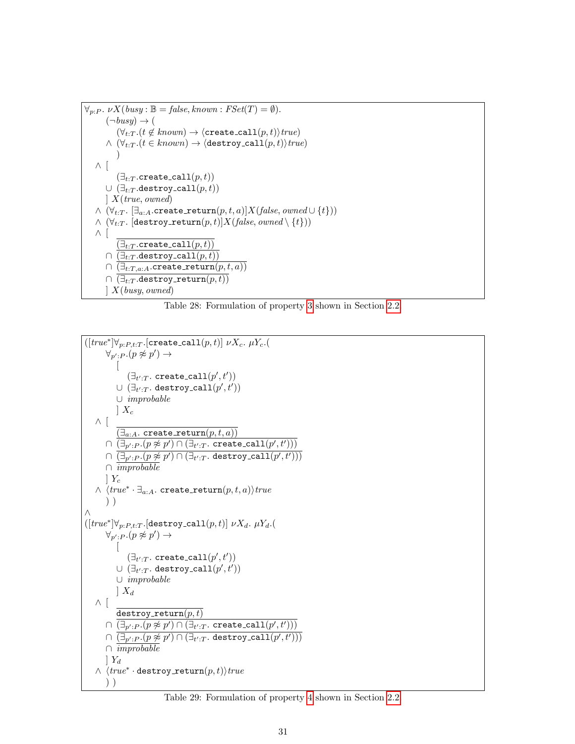```
\forall_{p:P}. \nu X(busy: \mathbb{B} = false, known: FSet(T) = \emptyset).(\neg busy) \rightarrow ((\forall_{t:T}.(t \notin known) \rightarrow \langle \texttt{create\_call}(p, t) \rangle true)\land (\forall_{t:T}.(t \in known) \rightarrow \langle \texttt{destroy\_call}(p, t) \rangle true)\lambda∧ [
            (\exists_{t:T}.\text{create\_call}(p, t))∪ (\exists_{t:T}.destroy_call(p,t))
       \mid X(true, owned)\wedge (\forall_{t:T}. [\exists_{a:A}.create_return(p,t,a)]X(false, owned \cup \{t\}))\wedge (\forall_{t:T}. [destroy_return(p,t)]X(false, owned \setminus \{t\}))∧ [
            (\exists_{t:T}.\texttt{create\_call}(p, t))\cap (\exists_{t:T}.destroy_call(p,t))\cap (\exists_{t:T,a:A}.\text{create\_return}(p,t,a))\cap (\exists_{t:T}.destroy_return(p,t))\mid X(busy, owned)\mid
```
Table 28: Formulation of property [3](#page-3-4) shown in Section [2.2.](#page-3-1)

```
([true^*] \forall_{p:P,t:T}.[\texttt{create\_call}(p, t)] \nu X_c. \mu Y_c.\forall_{p':P}.(p \not\approx p') \rightarrow[
                   (\exists_{t':T}. create_call(p', t'))\cup (\exists_{t':T}. destroy_call(p',t'))∪ improbable
             \mid X_c \mid∧ [
              (\exists_{a:A}. create_return(p,t,a))\cap \ (\exists_{p':P}.(p \not\approx p') \cap (\exists_{t':T}.\ \texttt{create\_call}(p',t')))\cap \ (\exists_{p':P}.(p \not\approx p') \cap (\exists_{t':T}. \ \texttt{destroy\_call}(p',t')))\cap improbable
        \mid Y_c \mid\wedge \ \langle \mathit{true}^* \cdot \exists_{a:A}.\ \texttt{create\_return}(p, t, a) \rangle \mathit{true}) )
∧
([true^*] \forall_{p:P,t:T}.[destroy_call(p,t)] \nu X_d. \mu Y_d.]
         \forall_{p':P}.(p \not\approx p') \rightarrow\overline{\phantom{a}}(\exists_{t':T}. \text{ create-call}(p', t'))\cup (\exists_{t':T}. destroy_call(p',t'))∪ improbable
             \mid X_d \mid∧ [
              \texttt{destroy\_return}(p, t)\cap \ (\exists_{p':P}.(p \not\approx p') \cap (\exists_{t':T}.\ \texttt{create-call}(p',t')))\cap \hspace{0.5mm} (\exists_{p' : P} . (p \not\approx p') \cap (\exists_{t' : T} . \hspace{0.5mm} \texttt{destroy\_call}(p', t')))\cap improbable
        \mid Y_d \mid\wedge \langle true^* \cdot \texttt{destroy\_return}(p, t) \rangle true) )
```
Table 29: Formulation of property [4](#page-3-0) shown in Section [2.2.](#page-3-1)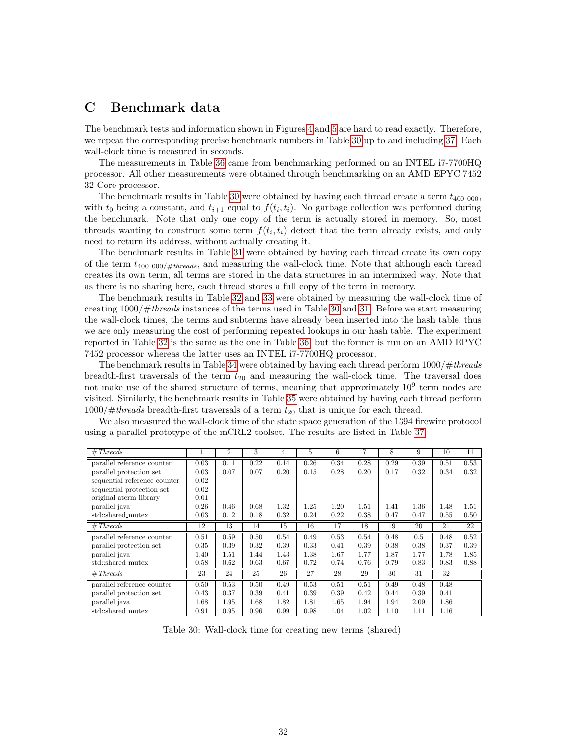## C Benchmark data

The benchmark tests and information shown in Figures [4](#page-11-0) and [5](#page-12-4) are hard to read exactly. Therefore, we repeat the corresponding precise benchmark numbers in Table [30](#page-31-0) up to and including [37.](#page-34-0) Each wall-clock time is measured in seconds.

The measurements in Table [36](#page-33-0) came from benchmarking performed on an INTEL i7-7700HQ processor. All other measurements were obtained through benchmarking on an AMD EPYC 7452 32-Core processor.

The benchmark results in Table [30](#page-31-0) were obtained by having each thread create a term  $t_{400\ 000}$ , with  $t_0$  being a constant, and  $t_{i+1}$  equal to  $f(t_i, t_i)$ . No garbage collection was performed during the benchmark. Note that only one copy of the term is actually stored in memory. So, most threads wanting to construct some term  $f(t_i, t_i)$  detect that the term already exists, and only need to return its address, without actually creating it.

The benchmark results in Table [31](#page-32-0) were obtained by having each thread create its own copy of the term  $t_{400\ 000/\#threads}$ , and measuring the wall-clock time. Note that although each thread creates its own term, all terms are stored in the data structures in an intermixed way. Note that as there is no sharing here, each thread stores a full copy of the term in memory.

The benchmark results in Table [32](#page-32-1) and [33](#page-32-2) were obtained by measuring the wall-clock time of creating  $1000/\#threads$  instances of the terms used in Table [30](#page-31-0) and [31.](#page-32-0) Before we start measuring the wall-clock times, the terms and subterms have already been inserted into the hash table, thus we are only measuring the cost of performing repeated lookups in our hash table. The experiment reported in Table [32](#page-32-1) is the same as the one in Table [36,](#page-33-0) but the former is run on an AMD EPYC 7452 processor whereas the latter uses an INTEL i7-7700HQ processor.

The benchmark results in Table [34](#page-33-1) were obtained by having each thread perform  $1000/\#threads$ breadth-first traversals of the term  $t_{20}$  and measuring the wall-clock time. The traversal does not make use of the shared structure of terms, meaning that approximately  $10^9$  term nodes are visited. Similarly, the benchmark results in Table [35](#page-33-2) were obtained by having each thread perform  $1000/\#threads$  breadth-first traversals of a term  $t_{20}$  that is unique for each thread.

We also measured the wall-clock time of the state space generation of the 1394 firewire protocol using a parallel prototype of the mCRL2 toolset. The results are listed in Table [37.](#page-34-0)

<span id="page-31-0"></span>

| #Threads                     |      | $\overline{2}$ | 3    | 4    | 5    | 6    | 7    | 8    | 9    | 10   | 11   |
|------------------------------|------|----------------|------|------|------|------|------|------|------|------|------|
| parallel reference counter   | 0.03 | 0.11           | 0.22 | 0.14 | 0.26 | 0.34 | 0.28 | 0.29 | 0.39 | 0.51 | 0.53 |
| parallel protection set      | 0.03 | 0.07           | 0.07 | 0.20 | 0.15 | 0.28 | 0.20 | 0.17 | 0.32 | 0.34 | 0.32 |
| sequential reference counter | 0.02 |                |      |      |      |      |      |      |      |      |      |
| sequential protection set    | 0.02 |                |      |      |      |      |      |      |      |      |      |
| original aterm library       | 0.01 |                |      |      |      |      |      |      |      |      |      |
| parallel java                | 0.26 | 0.46           | 0.68 | 1.32 | 1.25 | 1.20 | 1.51 | 1.41 | 1.36 | 1.48 | 1.51 |
| std::shared_mutex            | 0.03 | 0.12           | 0.18 | 0.32 | 0.24 | 0.22 | 0.38 | 0.47 | 0.47 | 0.55 | 0.50 |
| #Threads                     | 12   | 13             | 14   | 15   | 16   | 17   | 18   | 19   | 20   | 21   | 22   |
| parallel reference counter   | 0.51 | 0.59           | 0.50 | 0.54 | 0.49 | 0.53 | 0.54 | 0.48 | 0.5  | 0.48 | 0.52 |
| parallel protection set      | 0.35 | 0.39           | 0.32 | 0.39 | 0.33 | 0.41 | 0.39 | 0.38 | 0.38 | 0.37 | 0.39 |
| parallel java                | 1.40 | 1.51           | 1.44 | 1.43 | 1.38 | 1.67 | 1.77 | 1.87 | 1.77 | 1.78 | 1.85 |
| std::shared_mutex            | 0.58 | 0.62           | 0.63 | 0.67 | 0.72 | 0.74 | 0.76 | 0.79 | 0.83 | 0.83 | 0.88 |
| #Threads                     | 23   | 24             | 25   | 26   | 27   | 28   | 29   | 30   | 31   | 32   |      |
| parallel reference counter   | 0.50 | 0.53           | 0.50 | 0.49 | 0.53 | 0.51 | 0.51 | 0.49 | 0.48 | 0.48 |      |
| parallel protection set      | 0.43 | 0.37           | 0.39 | 0.41 | 0.39 | 0.39 | 0.42 | 0.44 | 0.39 | 0.41 |      |
| parallel java                | 1.68 | 1.95           | 1.68 | 1.82 | 1.81 | 1.65 | 1.94 | 1.94 | 2.09 | 1.86 |      |
| std::shared_mutex            | 0.91 | 0.95           | 0.96 | 0.99 | 0.98 | 1.04 | 1.02 | 1.10 | 1.11 | 1.16 |      |

Table 30: Wall-clock time for creating new terms (shared).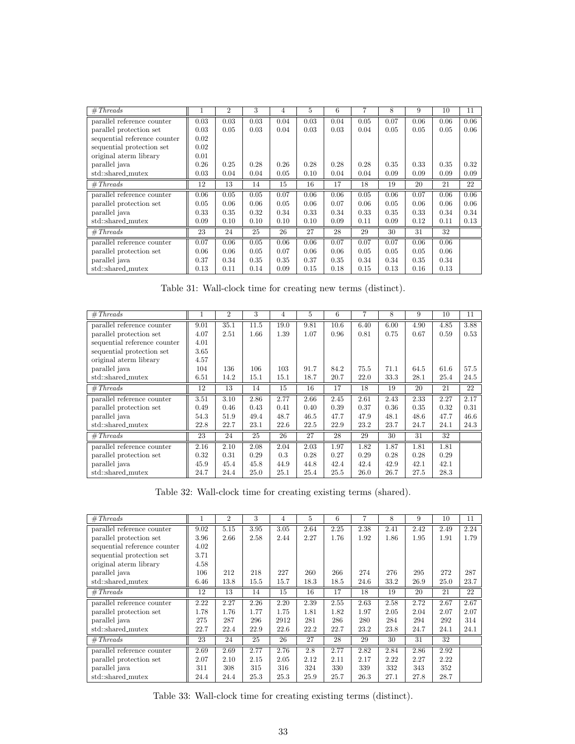<span id="page-32-0"></span>

| #Threads                     | Ŧ.   | $\overline{2}$ | 3    | 4    | 5    | 6    | 7    | 8    | 9    | 10   | 11   |
|------------------------------|------|----------------|------|------|------|------|------|------|------|------|------|
| parallel reference counter   | 0.03 | 0.03           | 0.03 | 0.04 | 0.03 | 0.04 | 0.05 | 0.07 | 0.06 | 0.06 | 0.06 |
| parallel protection set      | 0.03 | 0.05           | 0.03 | 0.04 | 0.03 | 0.03 | 0.04 | 0.05 | 0.05 | 0.05 | 0.06 |
| sequential reference counter | 0.02 |                |      |      |      |      |      |      |      |      |      |
| sequential protection set    | 0.02 |                |      |      |      |      |      |      |      |      |      |
| original aterm library       | 0.01 |                |      |      |      |      |      |      |      |      |      |
| parallel java                | 0.26 | 0.25           | 0.28 | 0.26 | 0.28 | 0.28 | 0.28 | 0.35 | 0.33 | 0.35 | 0.32 |
| std::shared_mutex            | 0.03 | 0.04           | 0.04 | 0.05 | 0.10 | 0.04 | 0.04 | 0.09 | 0.09 | 0.09 | 0.09 |
| #Threads                     | 12   | 13             | 14   | 15   | 16   | 17   | 18   | 19   | 20   | 21   | 22   |
| parallel reference counter   | 0.06 | 0.05           | 0.05 | 0.07 | 0.06 | 0.06 | 0.05 | 0.06 | 0.07 | 0.06 | 0.06 |
| parallel protection set      | 0.05 | 0.06           | 0.06 | 0.05 | 0.06 | 0.07 | 0.06 | 0.05 | 0.06 | 0.06 | 0.06 |
| parallel java                | 0.33 | 0.35           | 0.32 | 0.34 | 0.33 | 0.34 | 0.33 | 0.35 | 0.33 | 0.34 | 0.34 |
| std::shared_mutex            | 0.09 | 0.10           | 0.10 | 0.10 | 0.10 | 0.09 | 0.11 | 0.09 | 0.12 | 0.11 | 0.13 |
| #Threads                     | 23   | 24             | 25   | 26   | 27   | 28   | 29   | 30   | 31   | 32   |      |
| parallel reference counter   | 0.07 | 0.06           | 0.05 | 0.06 | 0.06 | 0.07 | 0.07 | 0.07 | 0.06 | 0.06 |      |
| parallel protection set      | 0.06 | 0.06           | 0.05 | 0.07 | 0.06 | 0.06 | 0.05 | 0.05 | 0.05 | 0.06 |      |
| parallel java                | 0.37 | 0.34           | 0.35 | 0.35 | 0.37 | 0.35 | 0.34 | 0.34 | 0.35 | 0.34 |      |
| std::shared_mutex            | 0.13 | 0.11           | 0.14 | 0.09 | 0.15 | 0.18 | 0.15 | 0.13 | 0.16 | 0.13 |      |

Table 31: Wall-clock time for creating new terms (distinct).

<span id="page-32-1"></span>

| #Threads                     |      | $\overline{2}$ | 3    | 4    | 5    | 6    | 7    | 8    | 9    | 10   | 11   |
|------------------------------|------|----------------|------|------|------|------|------|------|------|------|------|
| parallel reference counter   | 9.01 | 35.1           | 11.5 | 19.0 | 9.81 | 10.6 | 6.40 | 6.00 | 4.90 | 4.85 | 3.88 |
| parallel protection set      | 4.07 | 2.51           | 1.66 | 1.39 | 1.07 | 0.96 | 0.81 | 0.75 | 0.67 | 0.59 | 0.53 |
| sequential reference counter | 4.01 |                |      |      |      |      |      |      |      |      |      |
| sequential protection set    | 3.65 |                |      |      |      |      |      |      |      |      |      |
| original aterm library       | 4.57 |                |      |      |      |      |      |      |      |      |      |
| parallel java                | 104  | 136            | 106  | 103  | 91.7 | 84.2 | 75.5 | 71.1 | 64.5 | 61.6 | 57.5 |
| std::shared_mutex            | 6.51 | 14.2           | 15.1 | 15.1 | 18.7 | 20.7 | 22.0 | 33.3 | 28.1 | 25.4 | 24.5 |
| #Threads                     | 12   | 13             | 14   | 15   | 16   | 17   | 18   | 19   | 20   | 21   | 22   |
| parallel reference counter   | 3.51 | 3.10           | 2.86 | 2.77 | 2.66 | 2.45 | 2.61 | 2.43 | 2.33 | 2.27 | 2.17 |
| parallel protection set      | 0.49 | 0.46           | 0.43 | 0.41 | 0.40 | 0.39 | 0.37 | 0.36 | 0.35 | 0.32 | 0.31 |
| parallel java                | 54.3 | 51.9           | 49.4 | 48.7 | 46.5 | 47.7 | 47.9 | 48.1 | 48.6 | 47.7 | 46.6 |
| std::shared_mutex            | 22.8 | 22.7           | 23.1 | 22.6 | 22.5 | 22.9 | 23.2 | 23.7 | 24.7 | 24.1 | 24.3 |
| #Threads                     | 23   | 24             | 25   | 26   | 27   | 28   | 29   | 30   | 31   | 32   |      |
| parallel reference counter   | 2.16 | 2.10           | 2.08 | 2.04 | 2.03 | 1.97 | 1.82 | 1.87 | 1.81 | 1.81 |      |
| parallel protection set      | 0.32 | 0.31           | 0.29 | 0.3  | 0.28 | 0.27 | 0.29 | 0.28 | 0.28 | 0.29 |      |
| parallel java                | 45.9 | 45.4           | 45.8 | 44.9 | 44.8 | 42.4 | 42.4 | 42.9 | 42.1 | 42.1 |      |
| std::shared_mutex            | 24.7 | 24.4           | 25.0 | 25.1 | 25.4 | 25.5 | 26.0 | 26.7 | 27.5 | 28.3 |      |

Table 32: Wall-clock time for creating existing terms (shared).

<span id="page-32-2"></span>

| # Threads                    | 1    | $\overline{2}$ | 3    | 4    | 5    | 6    | 7    | 8    | 9    | 10   | 11   |
|------------------------------|------|----------------|------|------|------|------|------|------|------|------|------|
| parallel reference counter   | 9.02 | 5.15           | 3.95 | 3.05 | 2.64 | 2.25 | 2.38 | 2.41 | 2.42 | 2.49 | 2.24 |
| parallel protection set      | 3.96 | 2.66           | 2.58 | 2.44 | 2.27 | 1.76 | 1.92 | 1.86 | 1.95 | 1.91 | 1.79 |
| sequential reference counter | 4.02 |                |      |      |      |      |      |      |      |      |      |
| sequential protection set    | 3.71 |                |      |      |      |      |      |      |      |      |      |
| original aterm library       | 4.58 |                |      |      |      |      |      |      |      |      |      |
| parallel java                | 106  | 212            | 218  | 227  | 260  | 266  | 274  | 276  | 295  | 272  | 287  |
| std::shared_mutex            | 6.46 | 13.8           | 15.5 | 15.7 | 18.3 | 18.5 | 24.6 | 33.2 | 26.9 | 25.0 | 23.7 |
| #Threads                     | 12   | 13             | 14   | 15   | 16   | 17   | 18   | 19   | 20   | 21   | 22   |
| parallel reference counter   | 2.22 | 2.27           | 2.26 | 2.20 | 2.39 | 2.55 | 2.63 | 2.58 | 2.72 | 2.67 | 2.67 |
| parallel protection set      | 1.78 | 1.76           | 1.77 | 1.75 | 1.81 | 1.82 | 1.97 | 2.05 | 2.04 | 2.07 | 2.07 |
| parallel java                | 275  | 287            | 296  | 2912 | 281  | 286  | 280  | 284  | 294  | 292  | 314  |
| std::shared_mutex            | 22.7 | 22.4           | 22.9 | 22.6 | 22.2 | 22.7 | 23.2 | 23.8 | 24.7 | 24.1 | 24.1 |
| #Threads                     | 23   | 24             | 25   | 26   | 27   | 28   | 29   | 30   | 31   | 32   |      |
| parallel reference counter   | 2.69 | 2.69           | 2.77 | 2.76 | 2.8  | 2.77 | 2.82 | 2.84 | 2.86 | 2.92 |      |
| parallel protection set      | 2.07 | 2.10           | 2.15 | 2.05 | 2.12 | 2.11 | 2.17 | 2.22 | 2.27 | 2.22 |      |
| parallel java                | 311  | 308            | 315  | 316  | 324  | 330  | 339  | 332  | 343  | 352  |      |
| std::shared_mutex            | 24.4 | 24.4           | 25.3 | 25.3 | 25.9 | 25.7 | 26.3 | 27.1 | 27.8 | 28.7 |      |

Table 33: Wall-clock time for creating existing terms (distinct).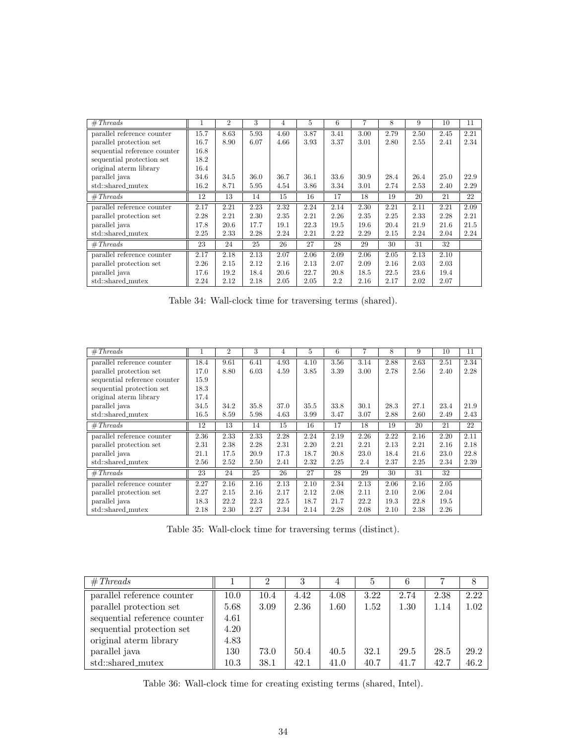<span id="page-33-1"></span>

| #Threads                     | 1    | $\overline{2}$ | 3    | 4    | 5    | 6       | 7    | 8    | 9    | 10   | 11   |
|------------------------------|------|----------------|------|------|------|---------|------|------|------|------|------|
| parallel reference counter   | 15.7 | 8.63           | 5.93 | 4.60 | 3.87 | 3.41    | 3.00 | 2.79 | 2.50 | 2.45 | 2.21 |
| parallel protection set      | 16.7 | 8.90           | 6.07 | 4.66 | 3.93 | 3.37    | 3.01 | 2.80 | 2.55 | 2.41 | 2.34 |
| sequential reference counter | 16.8 |                |      |      |      |         |      |      |      |      |      |
| sequential protection set    | 18.2 |                |      |      |      |         |      |      |      |      |      |
| original aterm library       | 16.4 |                |      |      |      |         |      |      |      |      |      |
| parallel java                | 34.6 | 34.5           | 36.0 | 36.7 | 36.1 | 33.6    | 30.9 | 28.4 | 26.4 | 25.0 | 22.9 |
| std::shared_mutex            | 16.2 | 8.71           | 5.95 | 4.54 | 3.86 | 3.34    | 3.01 | 2.74 | 2.53 | 2.40 | 2.29 |
| #Threads                     | 12   | 13             | 14   | 15   | 16   | 17      | 18   | 19   | 20   | 21   | 22   |
| parallel reference counter   | 2.17 | 2.21           | 2.23 | 2.32 | 2.24 | 2.14    | 2.30 | 2.21 | 2.11 | 2.21 | 2.09 |
| parallel protection set      | 2.28 | 2.21           | 2.30 | 2.35 | 2.21 | 2.26    | 2.35 | 2.25 | 2.33 | 2.28 | 2.21 |
| parallel java                | 17.8 | 20.6           | 17.7 | 19.1 | 22.3 | 19.5    | 19.6 | 20.4 | 21.9 | 21.6 | 21.5 |
| std::shared_mutex            | 2.25 | 2.33           | 2.28 | 2.24 | 2.21 | 2.22    | 2.29 | 2.15 | 2.24 | 2.04 | 2.24 |
| # Threads                    | 23   | 24             | 25   | 26   | 27   | 28      | 29   | 30   | 31   | 32   |      |
| parallel reference counter   | 2.17 | 2.18           | 2.13 | 2.07 | 2.06 | 2.09    | 2.06 | 2.05 | 2.13 | 2.10 |      |
| parallel protection set      | 2.26 | 2.15           | 2.12 | 2.16 | 2.13 | 2.07    | 2.09 | 2.16 | 2.03 | 2.03 |      |
| parallel java                | 17.6 | 19.2           | 18.4 | 20.6 | 22.7 | 20.8    | 18.5 | 22.5 | 23.6 | 19.4 |      |
| std::shared_mutex            | 2.24 | 2.12           | 2.18 | 2.05 | 2.05 | $2.2\,$ | 2.16 | 2.17 | 2.02 | 2.07 |      |

Table 34: Wall-clock time for traversing terms (shared).

<span id="page-33-2"></span>

| #Threads                     | $\perp$  | $\overline{2}$ | 3    | $\overline{4}$ | 5    | 6    | 7    | 8    | 9    | 10   | 11   |
|------------------------------|----------|----------------|------|----------------|------|------|------|------|------|------|------|
| parallel reference counter   | 18.4     | 9.61           | 6.41 | 4.93           | 4.10 | 3.56 | 3.14 | 2.88 | 2.63 | 2.51 | 2.34 |
| parallel protection set      | 17.0     | 8.80           | 6.03 | 4.59           | 3.85 | 3.39 | 3.00 | 2.78 | 2.56 | 2.40 | 2.28 |
| sequential reference counter | 15.9     |                |      |                |      |      |      |      |      |      |      |
| sequential protection set    | 18.3     |                |      |                |      |      |      |      |      |      |      |
| original aterm library       | 17.4     |                |      |                |      |      |      |      |      |      |      |
| parallel java                | 34.5     | 34.2           | 35.8 | 37.0           | 35.5 | 33.8 | 30.1 | 28.3 | 27.1 | 23.4 | 21.9 |
| std::shared_mutex            | 16.5     | 8.59           | 5.98 | 4.63           | 3.99 | 3.47 | 3.07 | 2.88 | 2.60 | 2.49 | 2.43 |
| #Threads                     | 12       | 13             | 14   | 15             | 16   | 17   | 18   | 19   | 20   | 21   | 22   |
| parallel reference counter   | 2.36     | 2.33           | 2.33 | 2.28           | 2.24 | 2.19 | 2.26 | 2.22 | 2.16 | 2.20 | 2.11 |
| parallel protection set      | 2.31     | 2.38           | 2.28 | 2.31           | 2.20 | 2.21 | 2.21 | 2.13 | 2.21 | 2.16 | 2.18 |
| parallel java                | 21.1     | 17.5           | 20.9 | 17.3           | 18.7 | 20.8 | 23.0 | 18.4 | 21.6 | 23.0 | 22.8 |
| std::shared_mutex            | $2.56\,$ | 2.52           | 2.50 | 2.41           | 2.32 | 2.25 | 2.4  | 2.37 | 2.25 | 2.34 | 2.39 |
| # Threads                    | 23       | 24             | 25   | 26             | 27   | 28   | 29   | 30   | 31   | 32   |      |
| parallel reference counter   | 2.27     | 2.16           | 2.16 | 2.13           | 2.10 | 2.34 | 2.13 | 2.06 | 2.16 | 2.05 |      |
| parallel protection set      | 2.27     | 2.15           | 2.16 | 2.17           | 2.12 | 2.08 | 2.11 | 2.10 | 2.06 | 2.04 |      |
| parallel java                | 18.3     | 22.2           | 22.3 | 22.5           | 18.7 | 21.7 | 22.2 | 19.3 | 22.8 | 19.5 |      |
| std::shared_mutex            | $2.18\,$ | 2.30           | 2.27 | 2.34           | 2.14 | 2.28 | 2.08 | 2.10 | 2.38 | 2.26 |      |

Table 35: Wall-clock time for traversing terms (distinct).

<span id="page-33-0"></span>

| $\# Threads$                 |          | 2    | 3    |      | 5.   | 6    |      |      |
|------------------------------|----------|------|------|------|------|------|------|------|
| parallel reference counter   | $10.0\,$ | 10.4 | 4.42 | 4.08 | 3.22 | 2.74 | 2.38 | 2.22 |
| parallel protection set      | 5.68     | 3.09 | 2.36 | 1.60 | 1.52 | 1.30 | 1.14 | 1.02 |
| sequential reference counter | 4.61     |      |      |      |      |      |      |      |
| sequential protection set    | 4.20     |      |      |      |      |      |      |      |
| original aterm library       | 4.83     |      |      |      |      |      |      |      |
| parallel java                | 130      | 73.0 | 50.4 | 40.5 | 32.1 | 29.5 | 28.5 | 29.2 |
| std::shared_mutex            | $10.3\,$ | 38.1 | 42.1 | 41.0 | 40.7 | 41.7 | 42.7 | 46.2 |

Table 36: Wall-clock time for creating existing terms (shared, Intel).